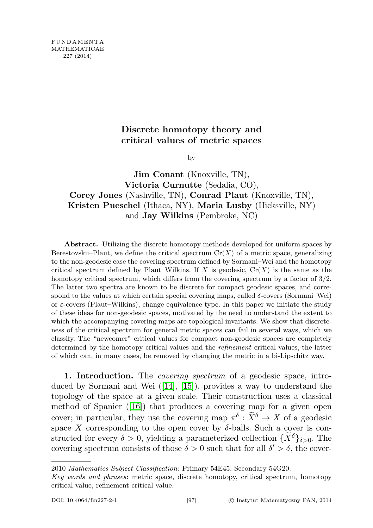## Discrete homotopy theory and critical values of metric spaces

by

Jim Conant (Knoxville, TN), Victoria Curnutte (Sedalia, CO), Corey Jones (Nashville, TN), Conrad Plaut (Knoxville, TN), Kristen Pueschel (Ithaca, NY), Maria Lusby (Hicksville, NY) and Jay Wilkins (Pembroke, NC)

Abstract. Utilizing the discrete homotopy methods developed for uniform spaces by Berestovskii–Plaut, we define the critical spectrum  $Cr(X)$  of a metric space, generalizing to the non-geodesic case the covering spectrum defined by Sormani–Wei and the homotopy critical spectrum defined by Plaut–Wilkins. If X is geodesic,  $Cr(X)$  is the same as the homotopy critical spectrum, which differs from the covering spectrum by a factor of  $3/2$ . The latter two spectra are known to be discrete for compact geodesic spaces, and correspond to the values at which certain special covering maps, called  $\delta$ -covers (Sormani–Wei) or  $\varepsilon$ -covers (Plaut–Wilkins), change equivalence type. In this paper we initiate the study of these ideas for non-geodesic spaces, motivated by the need to understand the extent to which the accompanying covering maps are topological invariants. We show that discreteness of the critical spectrum for general metric spaces can fail in several ways, which we classify. The "newcomer" critical values for compact non-geodesic spaces are completely determined by the homotopy critical values and the refinement critical values, the latter of which can, in many cases, be removed by changing the metric in a bi-Lipschitz way.

1. Introduction. The *covering spectrum* of a geodesic space, introduced by Sormani and Wei ([\[14\]](#page-31-0), [\[15\]](#page-31-1)), provides a way to understand the topology of the space at a given scale. Their construction uses a classical method of Spanier  $(16)$  that produces a covering map for a given open cover; in particular, they use the covering map  $\pi^{\delta} : \tilde{X}^{\delta} \to X$  of a geodesic space X corresponding to the open cover by  $\delta$ -balls. Such a cover is constructed for every  $\delta > 0$ , yielding a parameterized collection  $\{X^{\delta}\}_{\delta>0}$ . The covering spectrum consists of those  $\delta > 0$  such that for all  $\delta' > \delta$ , the cover-

<sup>2010</sup> Mathematics Subject Classification: Primary 54E45; Secondary 54G20.

Key words and phrases: metric space, discrete homotopy, critical spectrum, homotopy critical value, refinement critical value.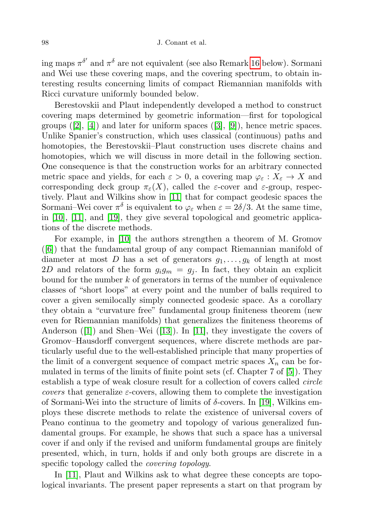ing maps  $\pi^{\delta'}$  and  $\pi^{\delta}$  are not equivalent (see also Remark [16](#page-9-0) below). Sormani and Wei use these covering maps, and the covering spectrum, to obtain interesting results concerning limits of compact Riemannian manifolds with Ricci curvature uniformly bounded below.

Berestovskii and Plaut independently developed a method to construct covering maps determined by geometric information—first for topological groups  $([2], [4])$  $([2], [4])$  $([2], [4])$  $([2], [4])$  $([2], [4])$  and later for uniform spaces  $([3], [9])$  $([3], [9])$  $([3], [9])$  $([3], [9])$  $([3], [9])$ , hence metric spaces. Unlike Spanier's construction, which uses classical (continuous) paths and homotopies, the Berestovskii–Plaut construction uses discrete chains and homotopies, which we will discuss in more detail in the following section. One consequence is that the construction works for an arbitrary connected metric space and yields, for each  $\varepsilon > 0$ , a covering map  $\varphi_{\varepsilon}: X_{\varepsilon} \to X$  and corresponding deck group  $\pi_{\varepsilon}(X)$ , called the  $\varepsilon$ -cover and  $\varepsilon$ -group, respectively. Plaut and Wilkins show in [\[11\]](#page-31-4) that for compact geodesic spaces the Sormani–Wei cover  $\pi^{\delta}$  is equivalent to  $\varphi_{\varepsilon}$  when  $\varepsilon = 2\delta/3$ . At the same time, in [\[10\]](#page-31-5), [\[11\]](#page-31-4), and [\[19\]](#page-31-6), they give several topological and geometric applications of the discrete methods.

For example, in [\[10\]](#page-31-5) the authors strengthen a theorem of M. Gromov ([\[6\]](#page-30-3)) that the fundamental group of any compact Riemannian manifold of diameter at most D has a set of generators  $g_1, \ldots, g_k$  of length at most 2D and relators of the form  $g_i g_m = g_i$ . In fact, they obtain an explicit bound for the number  $k$  of generators in terms of the number of equivalence classes of "short loops" at every point and the number of balls required to cover a given semilocally simply connected geodesic space. As a corollary they obtain a "curvature free" fundamental group finiteness theorem (new even for Riemannian manifolds) that generalizes the finiteness theorems of Anderson ([\[1\]](#page-30-4)) and Shen–Wei ([\[13\]](#page-31-7)). In [\[11\]](#page-31-4), they investigate the covers of Gromov–Hausdorff convergent sequences, where discrete methods are particularly useful due to the well-established principle that many properties of the limit of a convergent sequence of compact metric spaces  $X_n$  can be formulated in terms of the limits of finite point sets (cf. Chapter 7 of [\[5\]](#page-30-5)). They establish a type of weak closure result for a collection of covers called circle covers that generalize  $\varepsilon$ -covers, allowing them to complete the investigation of Sormani-Wei into the structure of limits of  $\delta$ -covers. In [\[19\]](#page-31-6), Wilkins employs these discrete methods to relate the existence of universal covers of Peano continua to the geometry and topology of various generalized fundamental groups. For example, he shows that such a space has a universal cover if and only if the revised and uniform fundamental groups are finitely presented, which, in turn, holds if and only both groups are discrete in a specific topology called the *covering topology*.

In [\[11\]](#page-31-4), Plaut and Wilkins ask to what degree these concepts are topological invariants. The present paper represents a start on that program by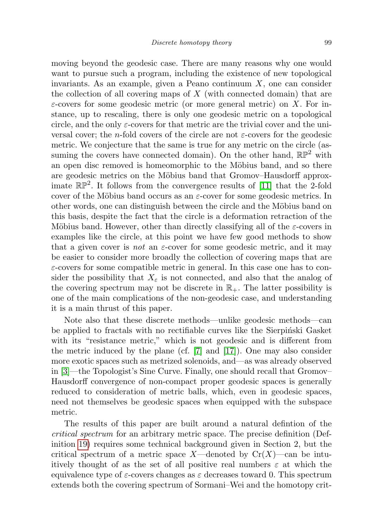moving beyond the geodesic case. There are many reasons why one would want to pursue such a program, including the existence of new topological invariants. As an example, given a Peano continuum  $X$ , one can consider the collection of all covering maps of  $X$  (with connected domain) that are  $\varepsilon$ -covers for some geodesic metric (or more general metric) on X. For instance, up to rescaling, there is only one geodesic metric on a topological circle, and the only  $\varepsilon$ -covers for that metric are the trivial cover and the universal cover; the *n*-fold covers of the circle are not  $\varepsilon$ -covers for the geodesic metric. We conjecture that the same is true for any metric on the circle (assuming the covers have connected domain). On the other hand,  $\mathbb{RP}^2$  with an open disc removed is homeomorphic to the Möbius band, and so there are geodesic metrics on the Möbius band that Gromov–Hausdorff approximate  $\mathbb{RP}^2$ . It follows from the convergence results of [\[11\]](#page-31-4) that the 2-fold cover of the Möbius band occurs as an  $\varepsilon$ -cover for some geodesic metrics. In other words, one can distinguish between the circle and the Möbius band on this basis, despite the fact that the circle is a deformation retraction of the Möbius band. However, other than directly classifying all of the  $\varepsilon$ -covers in examples like the circle, at this point we have few good methods to show that a given cover is not an  $\varepsilon$ -cover for some geodesic metric, and it may be easier to consider more broadly the collection of covering maps that are  $\varepsilon$ -covers for some compatible metric in general. In this case one has to consider the possibility that  $X_{\varepsilon}$  is not connected, and also that the analog of the covering spectrum may not be discrete in  $\mathbb{R}_+$ . The latter possibility is one of the main complications of the non-geodesic case, and understanding it is a main thrust of this paper.

Note also that these discrete methods—unlike geodesic methods—can be applied to fractals with no rectifiable curves like the Sierpinski Gasket with its "resistance metric," which is not geodesic and is different from the metric induced by the plane (cf. [\[7\]](#page-30-6) and [\[17\]](#page-31-8)). One may also consider more exotic spaces such as metrized solenoids, and—as was already observed in [\[3\]](#page-30-2)—the Topologist's Sine Curve. Finally, one should recall that Gromov– Hausdorff convergence of non-compact proper geodesic spaces is generally reduced to consideration of metric balls, which, even in geodesic spaces, need not themselves be geodesic spaces when equipped with the subspace metric.

The results of this paper are built around a natural defintion of the critical spectrum for an arbitrary metric space. The precise definition (Definition [19\)](#page-10-0) requires some technical background given in Section 2, but the critical spectrum of a metric space X—denoted by  $Cr(X)$ —can be intuitively thought of as the set of all positive real numbers  $\varepsilon$  at which the equivalence type of  $\varepsilon$ -covers changes as  $\varepsilon$  decreases toward 0. This spectrum extends both the covering spectrum of Sormani–Wei and the homotopy crit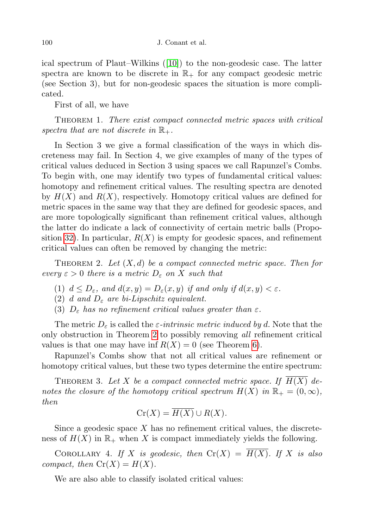ical spectrum of Plaut–Wilkins ([\[10\]](#page-31-5)) to the non-geodesic case. The latter spectra are known to be discrete in  $\mathbb{R}_+$  for any compact geodesic metric (see Section 3), but for non-geodesic spaces the situation is more complicated.

First of all, we have

Theorem 1. There exist compact connected metric spaces with critical spectra that are not discrete in  $\mathbb{R}_+$ .

In Section 3 we give a formal classification of the ways in which discreteness may fail. In Section 4, we give examples of many of the types of critical values deduced in Section 3 using spaces we call Rapunzel's Combs. To begin with, one may identify two types of fundamental critical values: homotopy and refinement critical values. The resulting spectra are denoted by  $H(X)$  and  $R(X)$ , respectively. Homotopy critical values are defined for metric spaces in the same way that they are defined for geodesic spaces, and are more topologically significant than refinement critical values, although the latter do indicate a lack of connectivity of certain metric balls (Propo-sition [32\)](#page-18-0). In particular,  $R(X)$  is empty for geodesic spaces, and refinement critical values can often be removed by changing the metric:

<span id="page-3-0"></span>THEOREM 2. Let  $(X, d)$  be a compact connected metric space. Then for every  $\varepsilon > 0$  there is a metric  $D_{\varepsilon}$  on X such that

- (1)  $d \leq D_{\varepsilon}$ , and  $d(x, y) = D_{\varepsilon}(x, y)$  if and only if  $d(x, y) < \varepsilon$ .
- (2) d and  $D_{\varepsilon}$  are bi-Lipschitz equivalent.
- (3)  $D_{\varepsilon}$  has no refinement critical values greater than  $\varepsilon$ .

The metric  $D_{\varepsilon}$  is called the  $\varepsilon$ -intrinsic metric induced by d. Note that the only obstruction in Theorem [2](#page-3-0) to possibly removing all refinement critical values is that one may have inf  $R(X) = 0$  (see Theorem [6\)](#page-4-0).

Rapunzel's Combs show that not all critical values are refinement or homotopy critical values, but these two types determine the entire spectrum:

<span id="page-3-3"></span>THEOREM 3. Let X be a compact connected metric space. If  $H(X)$  denotes the closure of the homotopy critical spectrum  $H(X)$  in  $\mathbb{R}_+ = (0, \infty)$ , then

$$
\operatorname{Cr}(X) = \overline{H(X)} \cup R(X).
$$

Since a geodesic space  $X$  has no refinement critical values, the discreteness of  $H(X)$  in  $\mathbb{R}_+$  when X is compact immediately yields the following.

<span id="page-3-1"></span>COROLLARY 4. If X is geodesic, then  $Cr(X) = \overline{H(X)}$ . If X is also compact, then  $Cr(X) = H(X)$ .

<span id="page-3-2"></span>We are also able to classify isolated critical values: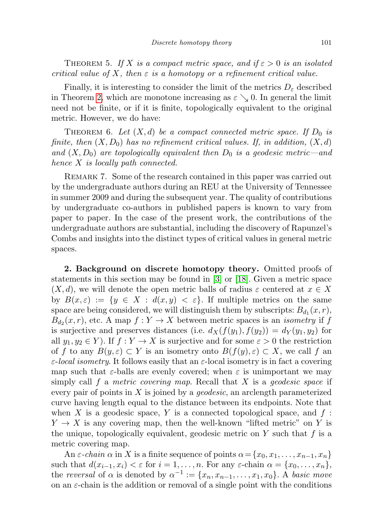THEOREM 5. If X is a compact metric space, and if  $\varepsilon > 0$  is an isolated critical value of X, then  $\varepsilon$  is a homotopy or a refinement critical value.

Finally, it is interesting to consider the limit of the metrics  $D_{\varepsilon}$  described in Theorem [2,](#page-3-0) which are monotone increasing as  $\varepsilon \searrow 0$ . In general the limit need not be finite, or if it is finite, topologically equivalent to the original metric. However, we do have:

<span id="page-4-0"></span>THEOREM 6. Let  $(X,d)$  be a compact connected metric space. If  $D_0$  is finite, then  $(X, D_0)$  has no refinement critical values. If, in addition,  $(X, d)$ and  $(X, D_0)$  are topologically equivalent then  $D_0$  is a geodesic metric—and hence X is locally path connected.

REMARK 7. Some of the research contained in this paper was carried out by the undergraduate authors during an REU at the University of Tennessee in summer 2009 and during the subsequent year. The quality of contributions by undergraduate co-authors in published papers is known to vary from paper to paper. In the case of the present work, the contributions of the undergraduate authors are substantial, including the discovery of Rapunzel's Combs and insights into the distinct types of critical values in general metric spaces.

2. Background on discrete homotopy theory. Omitted proofs of statements in this section may be found in [\[3\]](#page-30-2) or [\[18\]](#page-31-9). Given a metric space  $(X, d)$ , we will denote the open metric balls of radius  $\varepsilon$  centered at  $x \in X$ by  $B(x,\varepsilon) := \{y \in X : d(x,y) < \varepsilon\}$ . If multiple metrics on the same space are being considered, we will distinguish them by subscripts:  $B_{d_1}(x, r)$ ,  $B_{d_2}(x,r)$ , etc. A map  $f: Y \to X$  between metric spaces is an *isometry* if f is surjective and preserves distances (i.e.  $d_X(f(y_1), f(y_2)) = d_Y(y_1, y_2)$  for all  $y_1, y_2 \in Y$ ). If  $f: Y \to X$  is surjective and for some  $\varepsilon > 0$  the restriction of f to any  $B(y,\varepsilon) \subset Y$  is an isometry onto  $B(f(y),\varepsilon) \subset X$ , we call f an  $\varepsilon$ -local isometry. It follows easily that an  $\varepsilon$ -local isometry is in fact a covering map such that  $\varepsilon$ -balls are evenly covered; when  $\varepsilon$  is unimportant we may simply call f a metric covering map. Recall that  $X$  is a geodesic space if every pair of points in  $X$  is joined by a *geodesic*, an arclength parameterized curve having length equal to the distance between its endpoints. Note that when X is a geodesic space, Y is a connected topological space, and  $f$ :  $Y \to X$  is any covering map, then the well-known "lifted metric" on Y is the unique, topologically equivalent, geodesic metric on  $Y$  such that  $f$  is a metric covering map.

An  $\varepsilon$ -chain  $\alpha$  in X is a finite sequence of points  $\alpha = \{x_0, x_1, \ldots, x_{n-1}, x_n\}$ such that  $d(x_{i-1}, x_i) < \varepsilon$  for  $i = 1, \ldots, n$ . For any  $\varepsilon$ -chain  $\alpha = \{x_0, \ldots, x_n\}$ , the reversal of  $\alpha$  is denoted by  $\alpha^{-1} := \{x_n, x_{n-1}, \ldots, x_1, x_0\}$ . A basic move on an  $\varepsilon$ -chain is the addition or removal of a single point with the conditions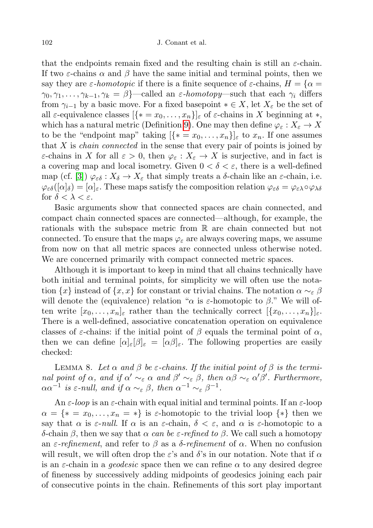that the endpoints remain fixed and the resulting chain is still an  $\varepsilon$ -chain. If two  $\varepsilon$ -chains  $\alpha$  and  $\beta$  have the same initial and terminal points, then we say they are  $\varepsilon$ -homotopic if there is a finite sequence of  $\varepsilon$ -chains,  $H = \{\alpha =$  $\gamma_0, \gamma_1, \ldots, \gamma_{k-1}, \gamma_k = \beta$ }—called an  $\varepsilon$ -homotopy—such that each  $\gamma_i$  differs from  $\gamma_{i-1}$  by a basic move. For a fixed basepoint  $* \in X$ , let  $X_{\varepsilon}$  be the set of all  $\varepsilon$ -equivalence classes  $\{\{* = x_0, \ldots, x_n\}\}\varepsilon$  of  $\varepsilon$ -chains in X beginning at  $*$ , which has a natural metric (Definition [9\)](#page-6-0). One may then define  $\varphi_{\varepsilon}: X_{\varepsilon} \to X$ to be the "endpoint map" taking  $[\{* = x_0, \ldots, x_n\}]_\varepsilon$  to  $x_n$ . If one assumes that  $X$  is *chain connected* in the sense that every pair of points is joined by  $\varepsilon$ -chains in X for all  $\varepsilon > 0$ , then  $\varphi_{\varepsilon}: X_{\varepsilon} \to X$  is surjective, and in fact is a covering map and local isometry. Given  $0 < \delta < \varepsilon$ , there is a well-defined map (cf. [\[3\]](#page-30-2))  $\varphi_{\varepsilon\delta}: X_{\delta} \to X_{\varepsilon}$  that simply treats a  $\delta$ -chain like an  $\varepsilon$ -chain, i.e.  $\varphi_{\varepsilon\delta}([\alpha]_{\delta}) = [\alpha]_{\varepsilon}$ . These maps satisfy the composition relation  $\varphi_{\varepsilon\delta} = \varphi_{\varepsilon\lambda} \circ \varphi_{\lambda\delta}$ for  $\delta < \lambda < \varepsilon$ .

Basic arguments show that connected spaces are chain connected, and compact chain connected spaces are connected—although, for example, the rationals with the subspace metric from R are chain connected but not connected. To ensure that the maps  $\varphi_{\varepsilon}$  are always covering maps, we assume from now on that all metric spaces are connected unless otherwise noted. We are concerned primarily with compact connected metric spaces.

Although it is important to keep in mind that all chains technically have both initial and terminal points, for simplicity we will often use the notation  $\{x\}$  instead of  $\{x, x\}$  for constant or trivial chains. The notation  $\alpha \sim_{\varepsilon} \beta$ will denote the (equivalence) relation " $\alpha$  is  $\varepsilon$ -homotopic to  $\beta$ ." We will often write  $[x_0, \ldots, x_n]_\varepsilon$  rather than the technically correct  $[\{x_0, \ldots, x_n\}]_\varepsilon$ . There is a well-defined, associative concatenation operation on equivalence classes of  $\varepsilon$ -chains: if the initial point of  $\beta$  equals the terminal point of  $\alpha$ , then we can define  $[\alpha]_{\varepsilon}[\beta]_{\varepsilon} = [\alpha \beta]_{\varepsilon}$ . The following properties are easily checked:

LEMMA 8. Let  $\alpha$  and  $\beta$  be  $\varepsilon$ -chains. If the initial point of  $\beta$  is the terminal point of  $\alpha$ , and if  $\alpha' \sim_{\varepsilon} \alpha$  and  $\beta' \sim_{\varepsilon} \beta$ , then  $\alpha\beta \sim_{\varepsilon} \alpha' \beta'$ . Furthermore,  $\alpha \alpha^{-1}$  is  $\varepsilon$ -null, and if  $\alpha \sim_{\varepsilon} \beta$ , then  $\alpha^{-1} \sim_{\varepsilon} \beta^{-1}$ .

An  $\varepsilon$ -loop is an  $\varepsilon$ -chain with equal initial and terminal points. If an  $\varepsilon$ -loop  $\alpha = \{ * = x_0, \ldots, x_n = * \}$  is  $\varepsilon$ -homotopic to the trivial loop  $\{ * \}$  then we say that  $\alpha$  is  $\varepsilon$ -null. If  $\alpha$  is an  $\varepsilon$ -chain,  $\delta < \varepsilon$ , and  $\alpha$  is  $\varepsilon$ -homotopic to a δ-chain β, then we say that  $\alpha$  can be  $\varepsilon$ -refined to β. We call such a homotopy an  $\varepsilon$ -refinement, and refer to  $\beta$  as a  $\delta$ -refinement of  $\alpha$ . When no confusion will result, we will often drop the  $\varepsilon$ 's and  $\delta$ 's in our notation. Note that if  $\alpha$ is an  $\varepsilon$ -chain in a *geodesic* space then we can refine  $\alpha$  to any desired degree of fineness by successively adding midpoints of geodesics joining each pair of consecutive points in the chain. Refinements of this sort play important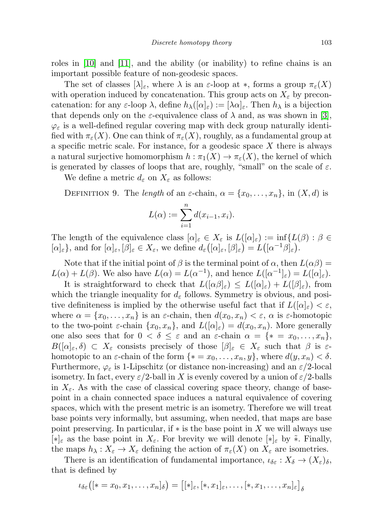roles in [\[10\]](#page-31-5) and [\[11\]](#page-31-4), and the ability (or inability) to refine chains is an important possible feature of non-geodesic spaces.

The set of classes  $[\lambda]_{\varepsilon}$ , where  $\lambda$  is an  $\varepsilon$ -loop at  $*$ , forms a group  $\pi_{\varepsilon}(X)$ with operation induced by concatenation. This group acts on  $X_{\varepsilon}$  by preconcatenation: for any  $\varepsilon$ -loop  $\lambda$ , define  $h_\lambda([\alpha]_\varepsilon) := [\lambda \alpha]_\varepsilon$ . Then  $h_\lambda$  is a bijection that depends only on the  $\varepsilon$ -equivalence class of  $\lambda$  and, as was shown in [\[3\]](#page-30-2),  $\varphi_{\varepsilon}$  is a well-defined regular covering map with deck group naturally identified with  $\pi_{\varepsilon}(X)$ . One can think of  $\pi_{\varepsilon}(X)$ , roughly, as a fundamental group at a specific metric scale. For instance, for a geodesic space  $X$  there is always a natural surjective homomorphism  $h : \pi_1(X) \to \pi_{\varepsilon}(X)$ , the kernel of which is generated by classes of loops that are, roughly, "small" on the scale of  $\varepsilon$ .

We define a metric  $d_{\varepsilon}$  on  $X_{\varepsilon}$  as follows:

<span id="page-6-0"></span>DEFINITION 9. The length of an  $\varepsilon$ -chain,  $\alpha = \{x_0, \ldots, x_n\}$ , in  $(X, d)$  is

$$
L(\alpha) := \sum_{i=1}^{n} d(x_{i-1}, x_i).
$$

The length of the equivalence class  $[\alpha]_{\varepsilon} \in X_{\varepsilon}$  is  $L([\alpha]_{\varepsilon}) := \inf \{ L(\beta) : \beta \in$  $[\alpha]_{\varepsilon}$ , and for  $[\alpha]_{\varepsilon}, [\beta]_{\varepsilon} \in X_{\varepsilon}$ , we define  $d_{\varepsilon}([\alpha]_{\varepsilon}, [\beta]_{\varepsilon}) = L([\alpha^{-1}\beta]_{\varepsilon}).$ 

Note that if the initial point of  $\beta$  is the terminal point of  $\alpha$ , then  $L(\alpha\beta)$  =  $L(\alpha) + L(\beta)$ . We also have  $L(\alpha) = L(\alpha^{-1})$ , and hence  $L([\alpha^{-1}]_{\varepsilon}) = L([\alpha]_{\varepsilon})$ .

It is straightforward to check that  $L([\alpha \beta]_{\varepsilon}) \leq L([\alpha]_{\varepsilon}) + L([\beta]_{\varepsilon})$ , from which the triangle inequality for  $d_{\varepsilon}$  follows. Symmetry is obvious, and positive definiteness is implied by the otherwise useful fact that if  $L([\alpha]_{\varepsilon}) < \varepsilon$ , where  $\alpha = \{x_0, \ldots, x_n\}$  is an  $\varepsilon$ -chain, then  $d(x_0, x_n) < \varepsilon$ ,  $\alpha$  is  $\varepsilon$ -homotopic to the two-point  $\varepsilon$ -chain  $\{x_0, x_n\}$ , and  $L([\alpha]_{\varepsilon}) = d(x_0, x_n)$ . More generally one also sees that for  $0 < \delta \leq \varepsilon$  and an  $\varepsilon$ -chain  $\alpha = \{ * = x_0, \ldots, x_n \},\$  $B([\alpha]_{\varepsilon}, \delta) \subset X_{\varepsilon}$  consists precisely of those  $[\beta]_{\varepsilon} \in X_{\varepsilon}$  such that  $\beta$  is  $\varepsilon$ homotopic to an  $\varepsilon$ -chain of the form  $\{* = x_0, \ldots, x_n, y\}$ , where  $d(y, x_n) < \delta$ . Furthermore,  $\varphi_{\varepsilon}$  is 1-Lipschitz (or distance non-increasing) and an  $\varepsilon/2$ -local isometry. In fact, every  $\varepsilon/2$ -ball in X is evenly covered by a union of  $\varepsilon/2$ -balls in  $X_{\varepsilon}$ . As with the case of classical covering space theory, change of basepoint in a chain connected space induces a natural equivalence of covering spaces, which with the present metric is an isometry. Therefore we will treat base points very informally, but assuming, when needed, that maps are base point preserving. In particular, if  $*$  is the base point in X we will always use  $[*]_{\varepsilon}$  as the base point in  $X_{\varepsilon}$ . For brevity we will denote  $[*]_{\varepsilon}$  by \*. Finally, the maps  $h_{\lambda}: X_{\varepsilon} \to X_{\varepsilon}$  defining the action of  $\pi_{\varepsilon}(X)$  on  $X_{\varepsilon}$  are isometries.

There is an identification of fundamental importance,  $\iota_{\delta \varepsilon}: X_{\delta} \to (X_{\varepsilon})_{\delta},$ that is defined by

$$
\iota_{\delta\varepsilon}\big([\ast=x_0,x_1,\ldots,x_n]_{\delta}\big) = \big[[\ast]_\varepsilon,[\ast,x_1]_\varepsilon,\ldots,[\ast,x_1,\ldots,x_n]_\varepsilon\big]_{\delta}
$$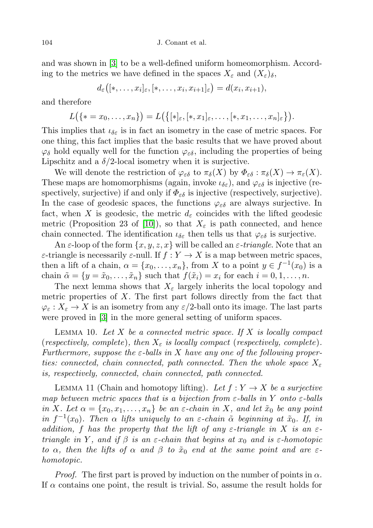and was shown in [\[3\]](#page-30-2) to be a well-defined uniform homeomorphism. According to the metrics we have defined in the spaces  $X_{\varepsilon}$  and  $(X_{\varepsilon})_{\delta}$ ,

$$
d_{\varepsilon}([*,\ldots,x_i]_{\varepsilon},[*,\ldots,x_i,x_{i+1}]_{\varepsilon})=d(x_i,x_{i+1}),
$$

and therefore

$$
L(\{\ast = x_0,\ldots,x_n\}) = L(\{[\ast]_\varepsilon,[\ast,x_1]_\varepsilon,\ldots,[\ast,x_1,\ldots,x_n]_\varepsilon\}).
$$

This implies that  $\iota_{\delta \varepsilon}$  is in fact an isometry in the case of metric spaces. For one thing, this fact implies that the basic results that we have proved about  $\varphi_{\delta}$  hold equally well for the function  $\varphi_{\varepsilon\delta}$ , including the properties of being Lipschitz and a  $\delta/2$ -local isometry when it is surjective.

We will denote the restriction of  $\varphi_{\varepsilon\delta}$  to  $\pi_{\delta}(X)$  by  $\Phi_{\varepsilon\delta} : \pi_{\delta}(X) \to \pi_{\varepsilon}(X)$ . These maps are homomorphisms (again, invoke  $\iota_{\delta \varepsilon}$ ), and  $\varphi_{\varepsilon \delta}$  is injective (respectively, surjective) if and only if  $\Phi_{\varepsilon\delta}$  is injective (respectively, surjective). In the case of geodesic spaces, the functions  $\varphi_{\varepsilon\delta}$  are always surjective. In fact, when X is geodesic, the metric  $d_{\varepsilon}$  coincides with the lifted geodesic metric (Proposition 23 of [\[10\]](#page-31-5)), so that  $X_{\varepsilon}$  is path connected, and hence chain connected. The identification  $\iota_{\delta \varepsilon}$  then tells us that  $\varphi_{\varepsilon \delta}$  is surjective.

An  $\varepsilon$ -loop of the form  $\{x, y, z, x\}$  will be called an  $\varepsilon$ -triangle. Note that an  $\varepsilon$ -triangle is necessarily  $\varepsilon$ -null. If  $f: Y \to X$  is a map between metric spaces, then a lift of a chain,  $\alpha = \{x_0, \ldots, x_n\}$ , from X to a point  $y \in f^{-1}(x_0)$  is a chain  $\tilde{\alpha} = \{y = \tilde{x}_0, \ldots, \tilde{x}_n\}$  such that  $f(\tilde{x}_i) = x_i$  for each  $i = 0, 1, \ldots, n$ .

The next lemma shows that  $X_{\varepsilon}$  largely inherits the local topology and metric properties of  $X$ . The first part follows directly from the fact that  $\varphi_{\varepsilon}: X_{\varepsilon} \to X$  is an isometry from any  $\varepsilon/2$ -ball onto its image. The last parts were proved in [\[3\]](#page-30-2) in the more general setting of uniform spaces.

LEMMA 10. Let  $X$  be a connected metric space. If  $X$  is locally compact (respectively, complete), then  $X_{\varepsilon}$  is locally compact (respectively, complete). Furthermore, suppose the  $\varepsilon$ -balls in X have any one of the following properties: connected, chain connected, path connected. Then the whole space  $X_\varepsilon$ is, respectively, connected, chain connected, path connected.

<span id="page-7-0"></span>LEMMA 11 (Chain and homotopy lifting). Let  $f: Y \to X$  be a surjective map between metric spaces that is a bijection from  $\varepsilon$ -balls in Y onto  $\varepsilon$ -balls in X. Let  $\alpha = \{x_0, x_1, \ldots, x_n\}$  be an  $\varepsilon$ -chain in X, and let  $\tilde{x}_0$  be any point in  $f^{-1}(x_0)$ . Then  $\alpha$  lifts uniquely to an  $\varepsilon$ -chain  $\tilde{\alpha}$  beginning at  $\tilde{x}_0$ . If, in addition, f has the property that the lift of any  $\varepsilon$ -triangle in X is an  $\varepsilon$ triangle in Y, and if  $\beta$  is an  $\varepsilon$ -chain that begins at  $x_0$  and is  $\varepsilon$ -homotopic to  $\alpha$ , then the lifts of  $\alpha$  and  $\beta$  to  $\tilde{x}_0$  end at the same point and are  $\varepsilon$ homotopic.

*Proof.* The first part is proved by induction on the number of points in  $\alpha$ . If  $\alpha$  contains one point, the result is trivial. So, assume the result holds for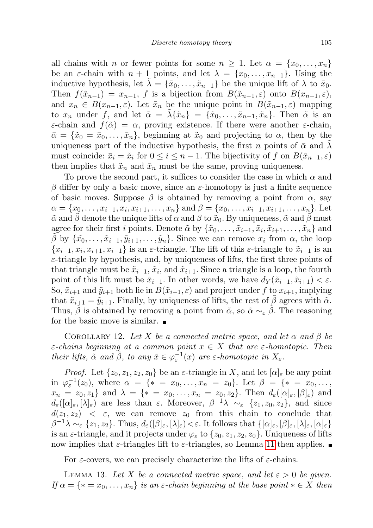all chains with n or fewer points for some  $n \geq 1$ . Let  $\alpha = \{x_0, \ldots, x_n\}$ be an  $\varepsilon$ -chain with  $n + 1$  points, and let  $\lambda = \{x_0, \ldots, x_{n-1}\}.$  Using the inductive hypothesis, let  $\tilde{\lambda} = {\tilde{x}_0, \ldots, \tilde{x}_{n-1}}$  be the unique lift of  $\lambda$  to  $\tilde{x}_0$ . Then  $f(\tilde{x}_{n-1}) = x_{n-1}$ , f is a bijection from  $B(\tilde{x}_{n-1}, \varepsilon)$  onto  $B(x_{n-1}, \varepsilon)$ , and  $x_n \in B(x_{n-1}, \varepsilon)$ . Let  $\tilde{x}_n$  be the unique point in  $B(\tilde{x}_{n-1}, \varepsilon)$  mapping to  $x_n$  under f, and let  $\tilde{\alpha} = \lambda \{\tilde{x}_n\} = \{\tilde{x}_0, \ldots, \tilde{x}_{n-1}, \tilde{x}_n\}$ . Then  $\tilde{\alpha}$  is an ε-chain and  $f(\tilde{\alpha}) = \alpha$ , proving existence. If there were another ε-chain,  $\bar{\alpha} = {\tilde{x}_0 = \bar{x}_0, \ldots, \bar{x}_n}$ , beginning at  $\tilde{x}_0$  and projecting to  $\alpha$ , then by the uniqueness part of the inductive hypothesis, the first n points of  $\bar{\alpha}$  and  $\lambda$ must coincide:  $\bar{x}_i = \tilde{x}_i$  for  $0 \leq i \leq n-1$ . The bijectivity of f on  $B(\tilde{x}_{n-1}, \varepsilon)$ then implies that  $\tilde{x}_n$  and  $\bar{x}_n$  must be the same, proving uniqueness.

To prove the second part, it suffices to consider the case in which  $\alpha$  and β differ by only a basic move, since an  $\varepsilon$ -homotopy is just a finite sequence of basic moves. Suppose  $\beta$  is obtained by removing a point from  $\alpha$ , say  $\alpha = \{x_0, \ldots, x_{i-1}, x_i, x_{i+1}, \ldots, x_n\}$  and  $\beta = \{x_0, \ldots, x_{i-1}, x_{i+1}, \ldots, x_n\}$ . Let  $\tilde{\alpha}$  and  $\beta$  denote the unique lifts of  $\alpha$  and  $\beta$  to  $\tilde{x}_0$ . By uniqueness,  $\tilde{\alpha}$  and  $\beta$  must agree for their first *i* points. Denote  $\tilde{\alpha}$  by  $\{\tilde{x}_0, \ldots, \tilde{x}_{i-1}, \tilde{x}_i, \tilde{x}_{i+1}, \ldots, \tilde{x}_n\}$  and  $\hat{\beta}$  by  $\{\tilde{x_0}, \ldots, \tilde{x}_{i-1}, \tilde{y}_{i+1}, \ldots, \tilde{y}_n\}$ . Since we can remove  $x_i$  from α, the loop  $\{x_{i-1}, x_i, x_{i+1}, x_{i-1}\}\$ is an  $\varepsilon$ -triangle. The lift of this  $\varepsilon$ -triangle to  $\tilde{x}_{i-1}$  is an  $\varepsilon$ -triangle by hypothesis, and, by uniqueness of lifts, the first three points of that triangle must be  $\tilde{x}_{i-1}$ ,  $\tilde{x}_i$ , and  $\tilde{x}_{i+1}$ . Since a triangle is a loop, the fourth point of this lift must be  $\tilde{x}_{i-1}$ . In other words, we have  $d_Y(\tilde{x}_{i-1}, \tilde{x}_{i+1}) < \varepsilon$ . So,  $\tilde{x}_{i+1}$  and  $\tilde{y}_{i+1}$  both lie in  $B(\tilde{x}_{i-1}, \varepsilon)$  and project under f to  $x_{i+1}$ , implying that  $\tilde{x}_{i+1} = \tilde{y}_{i+1}$ . Finally, by uniqueness of lifts, the rest of  $\tilde{\beta}$  agrees with  $\tilde{\alpha}$ . Thus,  $\tilde{\beta}$  is obtained by removing a point from  $\tilde{\alpha}$ , so  $\tilde{\alpha} \sim_{\varepsilon} \tilde{\beta}$ . The reasoning for the basic move is similar.  $\blacksquare$ 

<span id="page-8-1"></span>COROLLARY 12. Let X be a connected metric space, and let  $\alpha$  and  $\beta$  be  $\varepsilon$ -chains beginning at a common point  $x \in X$  that are  $\varepsilon$ -homotopic. Then their lifts,  $\tilde{\alpha}$  and  $\tilde{\beta}$ , to any  $\tilde{x} \in \varphi_{\varepsilon}^{-1}(x)$  are  $\varepsilon$ -homotopic in  $X_{\varepsilon}$ .

*Proof.* Let  $\{z_0, z_1, z_2, z_0\}$  be an  $\varepsilon$ -triangle in X, and let  $[\alpha]_{\varepsilon}$  be any point in  $\varphi_{\varepsilon}^{-1}(z_0)$ , where  $\alpha = \{ * = x_0, \ldots, x_n = z_0 \}$ . Let  $\beta = \{ * = x_0, \ldots,$  $x_n = z_0, z_1$  and  $\lambda = \{ * = x_0, \ldots, x_n = z_0, z_2 \}.$  Then  $d_{\varepsilon}([\alpha]_{\varepsilon}, [\beta]_{\varepsilon})$  and  $d_{\varepsilon}([\alpha]_{\varepsilon},[\lambda]_{\varepsilon})$  are less than  $\varepsilon$ . Moreover,  $\beta^{-1}\lambda \sim_{\varepsilon} {\{z_1,z_0,z_2\}}$ , and since  $d(z_1, z_2)$  <  $\varepsilon$ , we can remove  $z_0$  from this chain to conclude that  $\beta^{-1}\lambda \sim_{\varepsilon} \{z_1, z_2\}$ . Thus,  $d_{\varepsilon}([\beta]_{\varepsilon}, [\lambda]_{\varepsilon}) < \varepsilon$ . It follows that  $\{[\alpha]_{\varepsilon}, [\beta]_{\varepsilon}, [\lambda]_{\varepsilon}, [\alpha]_{\varepsilon}\}$ is an  $\varepsilon$ -triangle, and it projects under  $\varphi_{\varepsilon}$  to  $\{z_0, z_1, z_2, z_0\}$ . Uniqueness of lifts now implies that  $\varepsilon$ -triangles lift to  $\varepsilon$ -triangles, so Lemma [11](#page-7-0) then applies.

For  $\varepsilon$ -covers, we can precisely characterize the lifts of  $\varepsilon$ -chains.

<span id="page-8-0"></span>LEMMA 13. Let X be a connected metric space, and let  $\varepsilon > 0$  be given. If  $\alpha = \{ * = x_0, \ldots, x_n \}$  is an  $\varepsilon$ -chain beginning at the base point  $* \in X$  then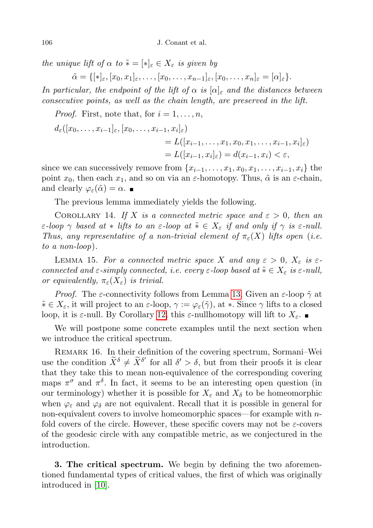the unique lift of  $\alpha$  to  $\tilde{*} = [*]_{\varepsilon} \in X_{\varepsilon}$  is given by

 $\tilde{\alpha} = \{[\ast]_{\varepsilon}, [x_0, x_1]_{\varepsilon}, \ldots, [x_0, \ldots, x_{n-1}]_{\varepsilon}, [x_0, \ldots, x_n]_{\varepsilon} = [\alpha]_{\varepsilon}\}.$ 

In particular, the endpoint of the lift of  $\alpha$  is  $[\alpha]_{\varepsilon}$  and the distances between consecutive points, as well as the chain length, are preserved in the lift.

*Proof.* First, note that, for  $i = 1, \ldots, n$ ,

$$
d_{\varepsilon}([x_0,\ldots,x_{i-1}]_{\varepsilon},[x_0,\ldots,x_{i-1},x_i]_{\varepsilon})
$$
  
=  $L([x_{i-1},\ldots,x_1,x_0,x_1,\ldots,x_{i-1},x_i]_{\varepsilon})$   
=  $L([x_{i-1},x_i]_{\varepsilon}) = d(x_{i-1},x_i) < \varepsilon$ ,

since we can successively remove from  $\{x_{i-1}, \ldots, x_1, x_0, x_1, \ldots, x_{i-1}, x_i\}$  the point  $x_0$ , then each  $x_1$ , and so on via an  $\varepsilon$ -homotopy. Thus,  $\tilde{\alpha}$  is an  $\varepsilon$ -chain, and clearly  $\varphi_{\varepsilon}(\tilde{\alpha}) = \alpha$ .

The previous lemma immediately yields the following.

COROLLARY 14. If X is a connected metric space and  $\varepsilon > 0$ , then an  $\varepsilon$ -loop  $\gamma$  based at  $*$  lifts to an  $\varepsilon$ -loop at  $\tilde{*} \in X_{\varepsilon}$  if and only if  $\gamma$  is  $\varepsilon$ -null. Thus, any representative of a non-trivial element of  $\pi_{\varepsilon}(X)$  lifts open (i.e. to a non-loop).

LEMMA 15. For a connected metric space X and any  $\varepsilon > 0$ ,  $X_{\varepsilon}$  is  $\varepsilon$ connected and  $\varepsilon$ -simply connected, i.e. every  $\varepsilon$ -loop based at  $\tilde{*} \in X_{\varepsilon}$  is  $\varepsilon$ -null, or equivalently,  $\pi_{\varepsilon}(X_{\varepsilon})$  is trivial.

*Proof.* The  $\varepsilon$ -connectivity follows from Lemma [13.](#page-8-0) Given an  $\varepsilon$ -loop  $\tilde{\gamma}$  at  $\tilde{*} \in X_{\varepsilon}$ , it will project to an  $\varepsilon$ -loop,  $\gamma := \varphi_{\varepsilon}(\tilde{\gamma})$ , at  $*$ . Since  $\gamma$  lifts to a closed loop, it is  $\varepsilon$ -null. By Corollary [12,](#page-8-1) this  $\varepsilon$ -nullhomotopy will lift to  $X_{\varepsilon}$ .

We will postpone some concrete examples until the next section when we introduce the critical spectrum.

<span id="page-9-0"></span>REMARK 16. In their definition of the covering spectrum, Sormani–Wei use the condition  $\widetilde{X}^{\delta} \neq \widetilde{X}^{\delta'}$  for all  $\delta' > \delta$ , but from their proofs it is clear that they take this to mean non-equivalence of the corresponding covering maps  $\pi^{\sigma}$  and  $\pi^{\delta}$ . In fact, it seems to be an interesting open question (in our terminology) whether it is possible for  $X_{\varepsilon}$  and  $X_{\delta}$  to be homeomorphic when  $\varphi_{\varepsilon}$  and  $\varphi_{\delta}$  are not equivalent. Recall that it is possible in general for non-equivalent covers to involve homeomorphic spaces—for example with nfold covers of the circle. However, these specific covers may not be  $\varepsilon$ -covers of the geodesic circle with any compatible metric, as we conjectured in the introduction.

3. The critical spectrum. We begin by defining the two aforementioned fundamental types of critical values, the first of which was originally introduced in [\[10\]](#page-31-5).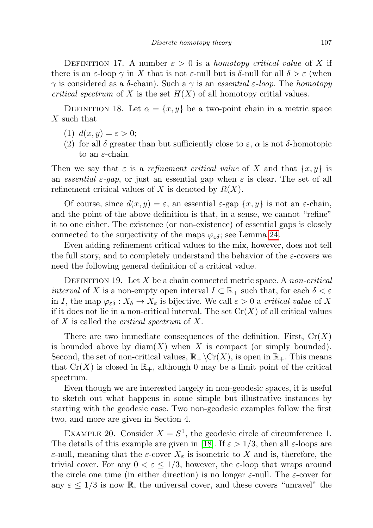DEFINITION 17. A number  $\varepsilon > 0$  is a *homotopy critical value* of X if there is an  $\varepsilon$ -loop  $\gamma$  in X that is not  $\varepsilon$ -null but is  $\delta$ -null for all  $\delta > \varepsilon$  (when  $\gamma$  is considered as a δ-chain). Such a  $\gamma$  is an *essential ε-loop*. The *homotopy critical spectrum* of X is the set  $H(X)$  of all homotopy critial values.

<span id="page-10-1"></span>DEFINITION 18. Let  $\alpha = \{x, y\}$  be a two-point chain in a metric space X such that

- (1)  $d(x, y) = \varepsilon > 0;$
- (2) for all  $\delta$  greater than but sufficiently close to  $\varepsilon$ ,  $\alpha$  is not  $\delta$ -homotopic to an  $\varepsilon$ -chain.

Then we say that  $\varepsilon$  is a *refinement critical value* of X and that  $\{x, y\}$  is an essential  $\varepsilon$ -gap, or just an essential gap when  $\varepsilon$  is clear. The set of all refinement critical values of X is denoted by  $R(X)$ .

Of course, since  $d(x, y) = \varepsilon$ , an essential  $\varepsilon$ -gap  $\{x, y\}$  is not an  $\varepsilon$ -chain, and the point of the above definition is that, in a sense, we cannot "refine" it to one either. The existence (or non-existence) of essential gaps is closely connected to the surjectivity of the maps  $\varphi_{\varepsilon\delta}$ ; see Lemma [24.](#page-13-0)

Even adding refinement critical values to the mix, however, does not tell the full story, and to completely understand the behavior of the  $\varepsilon$ -covers we need the following general definition of a critical value.

<span id="page-10-0"></span>DEFINITION 19. Let X be a chain connected metric space. A non-critical *interval* of X is a non-empty open interval  $I \subset \mathbb{R}_+$  such that, for each  $\delta < \varepsilon$ in I, the map  $\varphi_{\varepsilon\delta}: X_{\delta} \to X_{\varepsilon}$  is bijective. We call  $\varepsilon > 0$  a critical value of X if it does not lie in a non-critical interval. The set  $Cr(X)$  of all critical values of X is called the *critical spectrum* of X.

There are two immediate consequences of the definition. First,  $Cr(X)$ is bounded above by  $\text{diam}(X)$  when X is compact (or simply bounded). Second, the set of non-critical values,  $\mathbb{R}_+ \backslash \text{Cr}(X)$ , is open in  $\mathbb{R}_+$ . This means that  $Cr(X)$  is closed in  $\mathbb{R}_+$ , although 0 may be a limit point of the critical spectrum.

Even though we are interested largely in non-geodesic spaces, it is useful to sketch out what happens in some simple but illustrative instances by starting with the geodesic case. Two non-geodesic examples follow the first two, and more are given in Section 4.

EXAMPLE 20. Consider  $X = S^1$ , the geodesic circle of circumference 1. The details of this example are given in [\[18\]](#page-31-9). If  $\varepsilon > 1/3$ , then all  $\varepsilon$ -loops are ε-null, meaning that the ε-cover  $X_{\varepsilon}$  is isometric to X and is, therefore, the trivial cover. For any  $0 < \varepsilon \leq 1/3$ , however, the  $\varepsilon$ -loop that wraps around the circle one time (in either direction) is no longer  $\varepsilon$ -null. The  $\varepsilon$ -cover for any  $\varepsilon \leq 1/3$  is now R, the universal cover, and these covers "unravel" the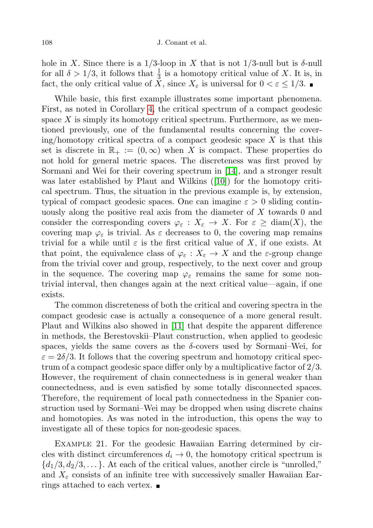hole in X. Since there is a 1/3-loop in X that is not 1/3-null but is  $\delta$ -null for all  $\delta > 1/3$ , it follows that  $\frac{1}{3}$  is a homotopy critical value of X. It is, in fact, the only critical value of  $\check{X}$ , since  $X_{\varepsilon}$  is universal for  $0 < \varepsilon \leq 1/3$ .

While basic, this first example illustrates some important phenomena. First, as noted in Corollary [4,](#page-3-1) the critical spectrum of a compact geodesic space  $X$  is simply its homotopy critical spectrum. Furthermore, as we mentioned previously, one of the fundamental results concerning the cover $ing/homotopy$  critical spectra of a compact geodesic space X is that this set is discrete in  $\mathbb{R}_+ := (0, \infty)$  when X is compact. These properties do not hold for general metric spaces. The discreteness was first proved by Sormani and Wei for their covering spectrum in [\[14\]](#page-31-0), and a stronger result was later established by Plaut and Wilkins ([\[10\]](#page-31-5)) for the homotopy critical spectrum. Thus, the situation in the previous example is, by extension, typical of compact geodesic spaces. One can imagine  $\varepsilon > 0$  sliding continuously along the positive real axis from the diameter of X towards 0 and consider the corresponding covers  $\varphi_{\varepsilon}: X_{\varepsilon} \to X$ . For  $\varepsilon \geq \text{diam}(X)$ , the covering map  $\varphi_{\varepsilon}$  is trivial. As  $\varepsilon$  decreases to 0, the covering map remains trivial for a while until  $\varepsilon$  is the first critical value of X, if one exists. At that point, the equivalence class of  $\varphi_{\varepsilon}: X_{\varepsilon} \to X$  and the  $\varepsilon$ -group change from the trivial cover and group, respectively, to the next cover and group in the sequence. The covering map  $\varphi_{\varepsilon}$  remains the same for some nontrivial interval, then changes again at the next critical value—again, if one exists.

The common discreteness of both the critical and covering spectra in the compact geodesic case is actually a consequence of a more general result. Plaut and Wilkins also showed in [\[11\]](#page-31-4) that despite the apparent difference in methods, the Berestovskii–Plaut construction, when applied to geodesic spaces, yields the same covers as the  $\delta$ -covers used by Sormani–Wei, for  $\varepsilon = 2\delta/3$ . It follows that the covering spectrum and homotopy critical spectrum of a compact geodesic space differ only by a multiplicative factor of 2/3. However, the requirement of chain connectedness is in general weaker than connectedness, and is even satisfied by some totally disconnected spaces. Therefore, the requirement of local path connectedness in the Spanier construction used by Sormani–Wei may be dropped when using discrete chains and homotopies. As was noted in the introduction, this opens the way to investigate all of these topics for non-geodesic spaces.

Example 21. For the geodesic Hawaiian Earring determined by circles with distinct circumferences  $d_i \rightarrow 0$ , the homotopy critical spectrum is  $\{d_1/3, d_2/3, \ldots\}$ . At each of the critical values, another circle is "unrolled," and  $X_{\varepsilon}$  consists of an infinite tree with successively smaller Hawaiian Earrings attached to each vertex.  $\blacksquare$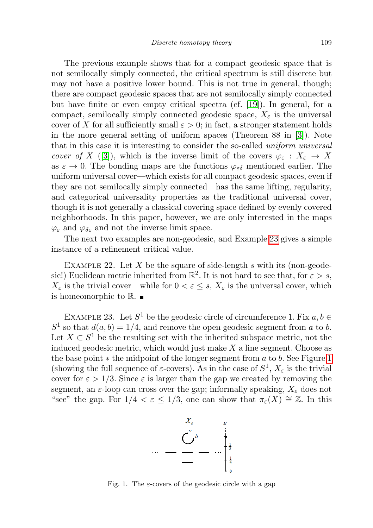The previous example shows that for a compact geodesic space that is not semilocally simply connected, the critical spectrum is still discrete but may not have a positive lower bound. This is not true in general, though; there are compact geodesic spaces that are not semilocally simply connected but have finite or even empty critical spectra (cf. [\[19\]](#page-31-6)). In general, for a compact, semilocally simply connected geodesic space,  $X_{\varepsilon}$  is the universal cover of X for all sufficiently small  $\varepsilon > 0$ ; in fact, a stronger statement holds in the more general setting of uniform spaces (Theorem 88 in [\[3\]](#page-30-2)). Note that in this case it is interesting to consider the so-called uniform universal cover of X ([\[3\]](#page-30-2)), which is the inverse limit of the covers  $\varphi_{\varepsilon}: X_{\varepsilon} \to X$ as  $\varepsilon \to 0$ . The bonding maps are the functions  $\varphi_{\varepsilon \delta}$  mentioned earlier. The uniform universal cover—which exists for all compact geodesic spaces, even if they are not semilocally simply connected—has the same lifting, regularity, and categorical universality properties as the traditional universal cover, though it is not generally a classical covering space defined by evenly covered neighborhoods. In this paper, however, we are only interested in the maps  $\varphi_{\varepsilon}$  and  $\varphi_{\delta\varepsilon}$  and not the inverse limit space.

The next two examples are non-geodesic, and Example [23](#page-12-0) gives a simple instance of a refinement critical value.

EXAMPLE 22. Let  $X$  be the square of side-length  $s$  with its (non-geodesic!) Euclidean metric inherited from  $\mathbb{R}^2$ . It is not hard to see that, for  $\varepsilon > s$ ,  $X_{\varepsilon}$  is the trivial cover—while for  $0 < \varepsilon \leq s$ ,  $X_{\varepsilon}$  is the universal cover, which is homeomorphic to  $\mathbb{R}$ .

<span id="page-12-0"></span>EXAMPLE 23. Let  $S^1$  be the geodesic circle of circumference 1. Fix  $a, b \in$  $S<sup>1</sup>$  so that  $d(a, b) = 1/4$ , and remove the open geodesic segment from a to b. Let  $X \subset S^1$  be the resulting set with the inherited subspace metric, not the induced geodesic metric, which would just make  $X$  a line segment. Choose as the base point  $*$  the midpoint of the longer segment from  $a$  to  $b$ . See Figure [1](#page-12-1) (showing the full sequence of  $\varepsilon$ -covers). As in the case of  $S^1$ ,  $X_{\varepsilon}$  is the trivial cover for  $\varepsilon > 1/3$ . Since  $\varepsilon$  is larger than the gap we created by removing the segment, an  $\varepsilon$ -loop can cross over the gap; informally speaking,  $X_{\varepsilon}$  does not "see" the gap. For  $1/4 < \varepsilon \leq 1/3$ , one can show that  $\pi_{\varepsilon}(X) \cong \mathbb{Z}$ . In this



<span id="page-12-1"></span>Fig. 1. The  $\varepsilon$ -covers of the geodesic circle with a gap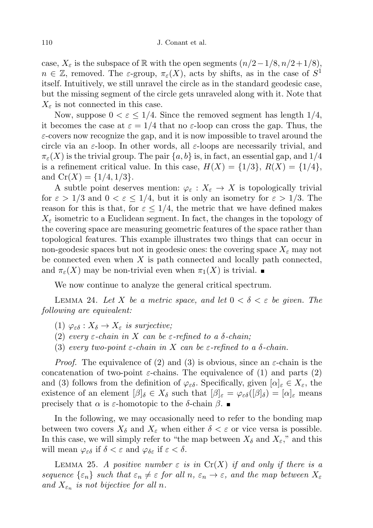case,  $X_{\varepsilon}$  is the subspace of R with the open segments  $(n/2-1/8, n/2+1/8)$ ,  $n \in \mathbb{Z}$ , removed. The  $\varepsilon$ -group,  $\pi_{\varepsilon}(X)$ , acts by shifts, as in the case of  $S^1$ itself. Intuitively, we still unravel the circle as in the standard geodesic case, but the missing segment of the circle gets unraveled along with it. Note that  $X_{\varepsilon}$  is not connected in this case.

Now, suppose  $0 < \varepsilon \leq 1/4$ . Since the removed segment has length  $1/4$ , it becomes the case at  $\varepsilon = 1/4$  that no  $\varepsilon$ -loop can cross the gap. Thus, the  $\varepsilon$ -covers now recognize the gap, and it is now impossible to travel around the circle via an  $\varepsilon$ -loop. In other words, all  $\varepsilon$ -loops are necessarily trivial, and  $\pi_{\varepsilon}(X)$  is the trivial group. The pair  $\{a, b\}$  is, in fact, an essential gap, and  $1/4$ is a refinement critical value. In this case,  $H(X) = \{1/3\}, R(X) = \{1/4\},\$ and  $Cr(X) = \{1/4, 1/3\}.$ 

A subtle point deserves mention:  $\varphi_{\varepsilon}: X_{\varepsilon} \to X$  is topologically trivial for  $\varepsilon > 1/3$  and  $0 < \varepsilon \le 1/4$ , but it is only an isometry for  $\varepsilon > 1/3$ . The reason for this is that, for  $\varepsilon \leq 1/4$ , the metric that we have defined makes  $X_{\varepsilon}$  isometric to a Euclidean segment. In fact, the changes in the topology of the covering space are measuring geometric features of the space rather than topological features. This example illustrates two things that can occur in non-geodesic spaces but not in geodesic ones: the covering space  $X_{\varepsilon}$  may not be connected even when  $X$  is path connected and locally path connected, and  $\pi_{\varepsilon}(X)$  may be non-trivial even when  $\pi_1(X)$  is trivial.

We now continue to analyze the general critical spectrum.

<span id="page-13-0"></span>LEMMA 24. Let X be a metric space, and let  $0 < \delta < \varepsilon$  be given. The following are equivalent:

- (1)  $\varphi_{\varepsilon\delta}: X_{\delta} \to X_{\varepsilon}$  is surjective;
- (2) every  $\varepsilon$ -chain in X can be  $\varepsilon$ -refined to a  $\delta$ -chain;
- (3) every two-point  $\varepsilon$ -chain in X can be  $\varepsilon$ -refined to a  $\delta$ -chain.

*Proof.* The equivalence of (2) and (3) is obvious, since an  $\varepsilon$ -chain is the concatenation of two-point  $\varepsilon$ -chains. The equivalence of (1) and parts (2) and (3) follows from the definition of  $\varphi_{\varepsilon\delta}$ . Specifically, given  $[\alpha]_{\varepsilon} \in X_{\varepsilon}$ , the existence of an element  $[\beta]_\delta \in X_\delta$  such that  $[\beta]_\varepsilon = \varphi_{\varepsilon\delta}([\beta]_\delta) = [\alpha]_\varepsilon$  means precisely that  $\alpha$  is ε-homotopic to the δ-chain  $\beta$ . ■

In the following, we may occasionally need to refer to the bonding map between two covers  $X_{\delta}$  and  $X_{\varepsilon}$  when either  $\delta < \varepsilon$  or vice versa is possible. In this case, we will simply refer to "the map between  $X_{\delta}$  and  $X_{\varepsilon}$ ," and this will mean  $\varphi_{\varepsilon\delta}$  if  $\delta < \varepsilon$  and  $\varphi_{\delta\varepsilon}$  if  $\varepsilon < \delta$ .

LEMMA 25. A positive number  $\varepsilon$  is in  $Cr(X)$  if and only if there is a sequence  $\{\varepsilon_n\}$  such that  $\varepsilon_n \neq \varepsilon$  for all  $n, \varepsilon_n \to \varepsilon$ , and the map between  $X_{\varepsilon}$ and  $X_{\varepsilon_n}$  is not bijective for all n.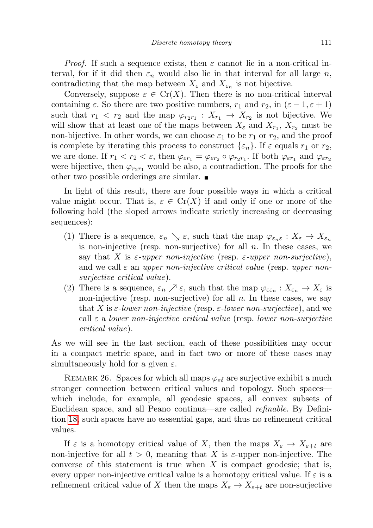*Proof.* If such a sequence exists, then  $\varepsilon$  cannot lie in a non-critical interval, for if it did then  $\varepsilon_n$  would also lie in that interval for all large n, contradicting that the map between  $X_{\varepsilon}$  and  $X_{\varepsilon_n}$  is not bijective.

Conversely, suppose  $\varepsilon \in \mathrm{Cr}(X)$ . Then there is no non-critical interval containing  $\varepsilon$ . So there are two positive numbers,  $r_1$  and  $r_2$ , in  $(\varepsilon - 1, \varepsilon + 1)$ such that  $r_1 < r_2$  and the map  $\varphi_{r_2r_1} : X_{r_1} \to X_{r_2}$  is not bijective. We will show that at least one of the maps between  $X_{\varepsilon}$  and  $X_{r_1}$ ,  $X_{r_2}$  must be non-bijective. In other words, we can choose  $\varepsilon_1$  to be  $r_1$  or  $r_2$ , and the proof is complete by iterating this process to construct  $\{\varepsilon_n\}$ . If  $\varepsilon$  equals  $r_1$  or  $r_2$ , we are done. If  $r_1 < r_2 < \varepsilon$ , then  $\varphi_{\varepsilon r_1} = \varphi_{\varepsilon r_2} \circ \varphi_{r_2 r_1}$ . If both  $\varphi_{\varepsilon r_1}$  and  $\varphi_{\varepsilon r_2}$ were bijective, then  $\varphi_{r_2r_1}$  would be also, a contradiction. The proofs for the other two possible orderings are similar.

In light of this result, there are four possible ways in which a critical value might occur. That is,  $\varepsilon \in Cr(X)$  if and only if one or more of the following hold (the sloped arrows indicate strictly increasing or decreasing sequences):

- (1) There is a sequence,  $\varepsilon_n \searrow \varepsilon$ , such that the map  $\varphi_{\varepsilon_n\varepsilon}: X_{\varepsilon} \to X_{\varepsilon_n}$ is non-injective (resp. non-surjective) for all  $n$ . In these cases, we say that X is  $\varepsilon$ -upper non-injective (resp.  $\varepsilon$ -upper non-surjective), and we call  $\varepsilon$  an upper non-injective critical value (resp. upper nonsurjective critical value).
- (2) There is a sequence,  $\varepsilon_n \nearrow \varepsilon$ , such that the map  $\varphi_{\varepsilon \varepsilon_n}: X_{\varepsilon_n} \to X_{\varepsilon}$  is non-injective (resp. non-surjective) for all  $n$ . In these cases, we say that X is  $\varepsilon$ -lower non-injective (resp.  $\varepsilon$ -lower non-surjective), and we call  $\varepsilon$  a lower non-injective critical value (resp. lower non-surjective critical value).

As we will see in the last section, each of these possibilities may occur in a compact metric space, and in fact two or more of these cases may simultaneously hold for a given  $\varepsilon$ .

REMARK 26. Spaces for which all maps  $\varphi_{\varepsilon \delta}$  are surjective exhibit a much stronger connection between critical values and topology. Such spaces which include, for example, all geodesic spaces, all convex subsets of Euclidean space, and all Peano continua—are called refinable. By Definition [18,](#page-10-1) such spaces have no esssential gaps, and thus no refinement critical values.

If  $\varepsilon$  is a homotopy critical value of X, then the maps  $X_{\varepsilon} \to X_{\varepsilon+t}$  are non-injective for all  $t > 0$ , meaning that X is  $\varepsilon$ -upper non-injective. The converse of this statement is true when  $X$  is compact geodesic; that is, every upper non-injective critical value is a homotopy critical value. If  $\varepsilon$  is a refinement critical value of X then the maps  $X_{\varepsilon} \to X_{\varepsilon+t}$  are non-surjective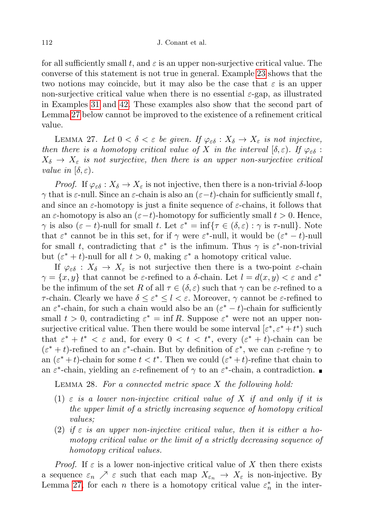for all sufficiently small t, and  $\varepsilon$  is an upper non-surjective critical value. The converse of this statement is not true in general. Example [23](#page-12-0) shows that the two notions may coincide, but it may also be the case that  $\varepsilon$  is an upper non-surjective critical value when there is no essential  $\varepsilon$ -gap, as illustrated in Examples [31](#page-18-1) and [42.](#page-29-0) These examples also show that the second part of Lemma [27](#page-15-0) below cannot be improved to the existence of a refinement critical value.

<span id="page-15-0"></span>LEMMA 27. Let  $0 < \delta < \varepsilon$  be given. If  $\varphi_{\varepsilon\delta}: X_{\delta} \to X_{\varepsilon}$  is not injective, then there is a homotopy critical value of X in the interval  $[\delta, \varepsilon)$ . If  $\varphi_{\varepsilon\delta}$ :  $X_{\delta} \rightarrow X_{\epsilon}$  is not surjective, then there is an upper non-surjective critical value in  $[\delta, \varepsilon)$ .

*Proof.* If  $\varphi_{\varepsilon\delta}: X_{\delta} \to X_{\varepsilon}$  is not injective, then there is a non-trivial  $\delta$ -loop  $\gamma$  that is  $\varepsilon$ -null. Since an  $\varepsilon$ -chain is also an  $(\varepsilon-t)$ -chain for sufficiently small t, and since an  $\varepsilon$ -homotopy is just a finite sequence of  $\varepsilon$ -chains, it follows that an  $\varepsilon$ -homotopy is also an  $(\varepsilon-t)$ -homotopy for sufficiently small  $t > 0$ . Hence,  $\gamma$  is also  $(\varepsilon - t)$ -null for small t. Let  $\varepsilon^* = \inf \{ \tau \in (\delta, \varepsilon) : \gamma \text{ is } \tau\text{-null} \}.$  Note that  $\varepsilon^*$  cannot be in this set, for if  $\gamma$  were  $\varepsilon^*$ -null, it would be  $(\varepsilon^* - t)$ -null for small t, contradicting that  $\varepsilon^*$  is the infimum. Thus  $\gamma$  is  $\varepsilon^*$ -non-trivial but  $(\varepsilon^* + t)$ -null for all  $t > 0$ , making  $\varepsilon^*$  a homotopy critical value.

If  $\varphi_{\varepsilon\delta} : X_{\delta} \to X_{\varepsilon}$  is not surjective then there is a two-point  $\varepsilon$ -chain  $\gamma = \{x, y\}$  that cannot be  $\varepsilon$ -refined to a  $\delta$ -chain. Let  $l = d(x, y) < \varepsilon$  and  $\varepsilon^*$ be the infimum of the set R of all  $\tau \in (\delta, \varepsilon)$  such that  $\gamma$  can be  $\varepsilon$ -refined to a  $τ$ -chain. Clearly we have  $δ ≤ ε^* ≤ l < ε$ . Moreover,  $γ$  cannot be ε-refined to an  $\varepsilon^*$ -chain, for such a chain would also be an  $(\varepsilon^* - t)$ -chain for sufficiently small  $t > 0$ , contradicting  $\varepsilon^* = \inf R$ . Suppose  $\varepsilon^*$  were not an upper nonsurjective critical value. Then there would be some interval  $[\varepsilon^*, \varepsilon^* + t^*)$  such that  $\varepsilon^* + t^* < \varepsilon$  and, for every  $0 < t < t^*$ , every  $(\varepsilon^* + t)$ -chain can be  $(\varepsilon^* + t)$ -refined to an  $\varepsilon^*$ -chain. But by definition of  $\varepsilon^*$ , we can  $\varepsilon$ -refine  $\gamma$  to an  $(\varepsilon^* + t)$ -chain for some  $t < t^*$ . Then we could  $(\varepsilon^* + t)$ -refine that chain to an  $\varepsilon^*$ -chain, yielding an  $\varepsilon$ -refinement of  $\gamma$  to an  $\varepsilon^*$ -chain, a contradiction.

<span id="page-15-1"></span>LEMMA 28. For a connected metric space  $X$  the following hold:

- (1)  $\varepsilon$  is a lower non-injective critical value of X if and only if it is the upper limit of a strictly increasing sequence of homotopy critical values;
- (2) if  $\varepsilon$  is an upper non-injective critical value, then it is either a homotopy critical value or the limit of a strictly decreasing sequence of homotopy critical values.

*Proof.* If  $\varepsilon$  is a lower non-injective critical value of X then there exists a sequence  $\varepsilon_n \nearrow \varepsilon$  such that each map  $X_{\varepsilon_n} \to X_{\varepsilon}$  is non-injective. By Lemma [27,](#page-15-0) for each *n* there is a homotopy critical value  $\varepsilon_n^*$  in the inter-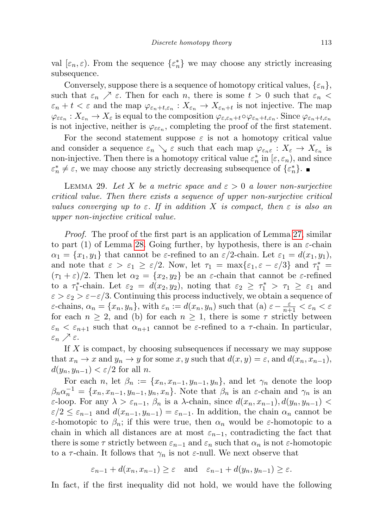val  $[\varepsilon_n, \varepsilon]$ . From the sequence  $\{\varepsilon_n^*\}$  we may choose any strictly increasing subsequence.

Conversely, suppose there is a sequence of homotopy critical values,  $\{\varepsilon_n\},\$ such that  $\varepsilon_n \nearrow \varepsilon$ . Then for each n, there is some  $t > 0$  such that  $\varepsilon_n <$  $\varepsilon_n + t < \varepsilon$  and the map  $\varphi_{\varepsilon_n+t,\varepsilon_n} : X_{\varepsilon_n} \to X_{\varepsilon_n+t}$  is not injective. The map  $\varphi_{\varepsilon\varepsilon_n}:X_{\varepsilon_n}\to X_\varepsilon$  is equal to the composition  $\varphi_{\varepsilon,\varepsilon_n+t}\circ\varphi_{\varepsilon_n+t,\varepsilon_n}$ . Since  $\varphi_{\varepsilon_n+t,\varepsilon_n}$ is not injective, neither is  $\varphi_{\varepsilon\varepsilon_n}$ , completing the proof of the first statement.

For the second statement suppose  $\varepsilon$  is not a homotopy critical value and consider a sequence  $\varepsilon_n \searrow \varepsilon$  such that each map  $\varphi_{\varepsilon_n\varepsilon}: X_{\varepsilon} \to X_{\varepsilon_n}$  is non-injective. Then there is a homotopy critical value  $\varepsilon_n^*$  in  $[\varepsilon, \varepsilon_n)$ , and since  $\varepsilon_n^* \neq \varepsilon$ , we may choose any strictly decreasing subsequence of  $\{\varepsilon_n^*\}$ .

<span id="page-16-0"></span>LEMMA 29. Let X be a metric space and  $\varepsilon > 0$  a lower non-surjective critical value. Then there exists a sequence of upper non-surjective critical values converging up to  $\varepsilon$ . If in addition X is compact, then  $\varepsilon$  is also an upper non-injective critical value.

Proof. The proof of the first part is an application of Lemma [27,](#page-15-0) similar to part (1) of Lemma [28.](#page-15-1) Going further, by hypothesis, there is an  $\varepsilon$ -chain  $\alpha_1 = \{x_1, y_1\}$  that cannot be  $\varepsilon$ -refined to an  $\varepsilon/2$ -chain. Let  $\varepsilon_1 = d(x_1, y_1)$ , and note that  $\varepsilon > \varepsilon_1 \geq \varepsilon/2$ . Now, let  $\tau_1 = \max\{\varepsilon_1, \varepsilon - \varepsilon/3\}$  and  $\tau_1^* =$  $(\tau_1 + \varepsilon)/2$ . Then let  $\alpha_2 = \{x_2, y_2\}$  be an  $\varepsilon$ -chain that cannot be  $\varepsilon$ -refined to a  $\tau_1^*$ -chain. Let  $\varepsilon_2 = d(x_2, y_2)$ , noting that  $\varepsilon_2 \geq \tau_1^* > \tau_1 \geq \varepsilon_1$  and  $\varepsilon > \varepsilon_2 > \varepsilon - \varepsilon/3$ . Continuing this process inductively, we obtain a sequence of  $\varepsilon$ -chains,  $\alpha_n = \{x_n, y_n\}$ , with  $\varepsilon_n := d(x_n, y_n)$  such that  $(a) \varepsilon - \frac{\varepsilon}{n+1} < \varepsilon_n < \varepsilon$ for each  $n \geq 2$ , and (b) for each  $n \geq 1$ , there is some  $\tau$  strictly between  $\varepsilon_n < \varepsilon_{n+1}$  such that  $\alpha_{n+1}$  cannot be  $\varepsilon$ -refined to a  $\tau$ -chain. In particular, ε<sub>n</sub>  $\nearrow$  ε.

If  $X$  is compact, by choosing subsequences if necessary we may suppose that  $x_n \to x$  and  $y_n \to y$  for some  $x, y$  such that  $d(x, y) = \varepsilon$ , and  $d(x_n, x_{n-1})$ ,  $d(y_n, y_{n-1}) < \varepsilon/2$  for all n.

For each n, let  $\beta_n := \{x_n, x_{n-1}, y_{n-1}, y_n\}$ , and let  $\gamma_n$  denote the loop  $\beta_n \alpha_n^{-1} = \{x_n, x_{n-1}, y_{n-1}, y_n, x_n\}.$  Note that  $\beta_n$  is an  $\varepsilon$ -chain and  $\gamma_n$  is an  $\varepsilon$ -loop. For any  $\lambda > \varepsilon_{n-1}$ ,  $\beta_n$  is a  $\lambda$ -chain, since  $d(x_n, x_{n-1}), d(y_n, y_{n-1})$  $\varepsilon/2 \leq \varepsilon_{n-1}$  and  $d(x_{n-1}, y_{n-1}) = \varepsilon_{n-1}$ . In addition, the chain  $\alpha_n$  cannot be ε-homotopic to  $\beta_n$ ; if this were true, then  $\alpha_n$  would be ε-homotopic to a chain in which all distances are at most  $\varepsilon_{n-1}$ , contradicting the fact that there is some  $\tau$  strictly between  $\varepsilon_{n-1}$  and  $\varepsilon_n$  such that  $\alpha_n$  is not  $\varepsilon$ -homotopic to a  $\tau$ -chain. It follows that  $\gamma_n$  is not  $\varepsilon$ -null. We next observe that

 $\varepsilon_{n-1} + d(x_n, x_{n-1}) \geq \varepsilon \text{ and } \varepsilon_{n-1} + d(y_n, y_{n-1}) \geq \varepsilon.$ 

In fact, if the first inequality did not hold, we would have the following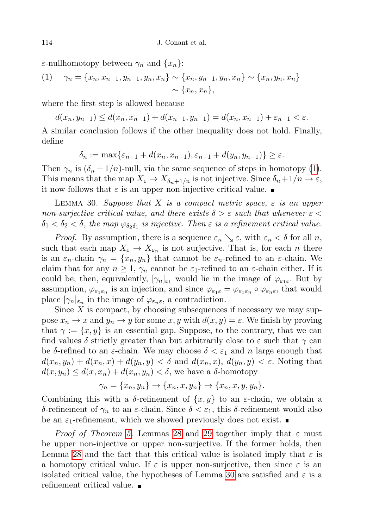$\varepsilon$ -nullhomotopy between  $\gamma_n$  and  $\{x_n\}$ :

(1) 
$$
\gamma_n = \{x_n, x_{n-1}, y_{n-1}, y_n, x_n\} \sim \{x_n, y_{n-1}, y_n, x_n\} \sim \{x_n, y_n, x_n\} \sim \{x_n, x_n\},
$$

where the first step is allowed because

 $d(x_n, y_{n-1}) \leq d(x_n, x_{n-1}) + d(x_{n-1}, y_{n-1}) = d(x_n, x_{n-1}) + \varepsilon_{n-1} < \varepsilon.$ 

A similar conclusion follows if the other inequality does not hold. Finally, define

$$
\delta_n := \max\{\varepsilon_{n-1} + d(x_n, x_{n-1}), \varepsilon_{n-1} + d(y_n, y_{n-1})\} \ge \varepsilon.
$$

Then  $\gamma_n$  is  $(\delta_n + 1/n)$ -null, via the same sequence of steps in homotopy [\(1\)](#page-16-0). This means that the map  $X_{\varepsilon} \to X_{\delta_n+1/n}$  is not injective. Since  $\delta_n+1/n \to \varepsilon$ , it now follows that  $\varepsilon$  is an upper non-injective critical value.

<span id="page-17-0"></span>LEMMA 30. Suppose that X is a compact metric space,  $\varepsilon$  is an upper non-surjective critical value, and there exists  $\delta > \varepsilon$  such that whenever  $\varepsilon <$  $\delta_1 < \delta_2 < \delta$ , the map  $\varphi_{\delta_2 \delta_1}$  is injective. Then  $\varepsilon$  is a refinement critical value.

*Proof.* By assumption, there is a sequence  $\varepsilon_n \searrow \varepsilon$ , with  $\varepsilon_n < \delta$  for all n, such that each map  $X_{\varepsilon} \to X_{\varepsilon_n}$  is not surjective. That is, for each *n* there is an  $\varepsilon_n$ -chain  $\gamma_n = \{x_n, y_n\}$  that cannot be  $\varepsilon_n$ -refined to an  $\varepsilon$ -chain. We claim that for any  $n \geq 1$ ,  $\gamma_n$  cannot be  $\varepsilon_1$ -refined to an  $\varepsilon$ -chain either. If it could be, then, equivalently,  $[\gamma_n]_{\varepsilon_1}$  would lie in the image of  $\varphi_{\varepsilon_1\varepsilon}$ . But by assumption,  $\varphi_{\varepsilon_1\varepsilon_n}$  is an injection, and since  $\varphi_{\varepsilon_1\varepsilon} = \varphi_{\varepsilon_1\varepsilon_n} \circ \varphi_{\varepsilon_n\varepsilon}$ , that would place  $[\gamma_n]_{\varepsilon_n}$  in the image of  $\varphi_{\varepsilon_n\varepsilon}$ , a contradiction.

Since  $X$  is compact, by choosing subsequences if necessary we may suppose  $x_n \to x$  and  $y_n \to y$  for some  $x, y$  with  $d(x, y) = \varepsilon$ . We finish by proving that  $\gamma := \{x, y\}$  is an essential gap. Suppose, to the contrary, that we can find values  $\delta$  strictly greater than but arbitrarily close to  $\varepsilon$  such that  $\gamma$  can be  $\delta$ -refined to an  $\varepsilon$ -chain. We may choose  $\delta < \varepsilon_1$  and n large enough that  $d(x_n, y_n) + d(x_n, x) + d(y_n, y) < \delta$  and  $d(x_n, x), d(y_n, y) < \varepsilon$ . Noting that  $d(x, y_n) \leq d(x, x_n) + d(x_n, y_n) < \delta$ , we have a  $\delta$ -homotopy

$$
\gamma_n = \{x_n, y_n\} \to \{x_n, x, y_n\} \to \{x_n, x, y, y_n\}.
$$

Combining this with a  $\delta$ -refinement of  $\{x, y\}$  to an  $\varepsilon$ -chain, we obtain a δ-refinement of  $\gamma_n$  to an ε-chain. Since  $\delta < \varepsilon_1$ , this δ-refinement would also be an  $\varepsilon_1$ -refinement, which we showed previously does not exist.

*Proof of Theorem [5.](#page-3-2)* Lemmas [28](#page-15-1) and [29](#page-16-0) together imply that  $\varepsilon$  must be upper non-injective or upper non-surjective. If the former holds, then Lemma [28](#page-15-1) and the fact that this critical value is isolated imply that  $\varepsilon$  is a homotopy critical value. If  $\varepsilon$  is upper non-surjective, then since  $\varepsilon$  is an isolated critical value, the hypotheses of Lemma [30](#page-17-0) are satisfied and  $\varepsilon$  is a refinement critical value.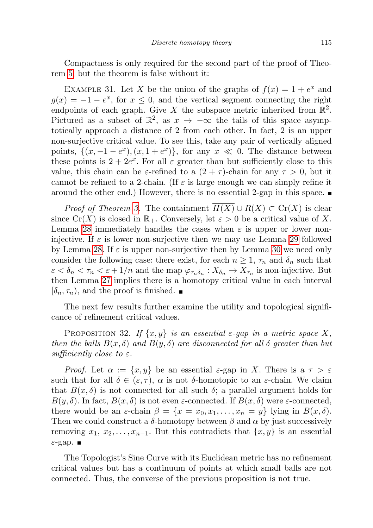Compactness is only required for the second part of the proof of Theorem [5,](#page-3-2) but the theorem is false without it:

<span id="page-18-1"></span>EXAMPLE 31. Let X be the union of the graphs of  $f(x) = 1 + e^x$  and  $g(x) = -1 - e^x$ , for  $x \leq 0$ , and the vertical segment connecting the right endpoints of each graph. Give X the subspace metric inherited from  $\mathbb{R}^2$ . Pictured as a subset of  $\mathbb{R}^2$ , as  $x \to -\infty$  the tails of this space asymptotically approach a distance of 2 from each other. In fact, 2 is an upper non-surjective critical value. To see this, take any pair of vertically aligned points,  $\{(x, -1 - e^x), (x, 1 + e^x)\}\$ , for any  $x \ll 0$ . The distance between these points is  $2 + 2e^x$ . For all  $\varepsilon$  greater than but sufficiently close to this value, this chain can be  $\varepsilon$ -refined to a  $(2 + \tau)$ -chain for any  $\tau > 0$ , but it cannot be refined to a 2-chain. (If  $\varepsilon$  is large enough we can simply refine it around the other end.) However, there is no essential 2-gap in this space.

*Proof of Theorem [3.](#page-3-3)* The containment  $H(X) \cup R(X) \subset Cr(X)$  is clear since  $Cr(X)$  is closed in  $\mathbb{R}_+$ . Conversely, let  $\varepsilon > 0$  be a critical value of X. Lemma [28](#page-15-1) immediately handles the cases when  $\varepsilon$  is upper or lower noninjective. If  $\varepsilon$  is lower non-surjective then we may use Lemma [29](#page-16-0) followed by Lemma [28.](#page-15-1) If  $\varepsilon$  is upper non-surjective then by Lemma [30](#page-17-0) we need only consider the following case: there exist, for each  $n \geq 1$ ,  $\tau_n$  and  $\delta_n$  such that  $\varepsilon < \delta_n < \tau_n < \varepsilon + 1/n$  and the map  $\varphi_{\tau_n \delta_n} : X_{\delta_n} \to X_{\tau_n}$  is non-injective. But then Lemma [27](#page-15-0) implies there is a homotopy critical value in each interval  $[\delta_n, \tau_n)$ , and the proof is finished.

The next few results further examine the utility and topological significance of refinement critical values.

<span id="page-18-0"></span>PROPOSITION 32. If  $\{x, y\}$  is an essential  $\varepsilon$ -gap in a metric space X, then the balls  $B(x, \delta)$  and  $B(y, \delta)$  are disconnected for all  $\delta$  greater than but sufficiently close to  $\varepsilon$ .

*Proof.* Let  $\alpha := \{x, y\}$  be an essential  $\varepsilon$ -gap in X. There is a  $\tau > \varepsilon$ such that for all  $\delta \in (\varepsilon, \tau)$ ,  $\alpha$  is not  $\delta$ -homotopic to an  $\varepsilon$ -chain. We claim that  $B(x, \delta)$  is not connected for all such  $\delta$ ; a parallel argument holds for  $B(y,\delta)$ . In fact,  $B(x,\delta)$  is not even  $\varepsilon$ -connected. If  $B(x,\delta)$  were  $\varepsilon$ -connected, there would be an  $\varepsilon$ -chain  $\beta = \{x = x_0, x_1, \ldots, x_n = y\}$  lying in  $B(x, \delta)$ . Then we could construct a  $\delta$ -homotopy between  $\beta$  and  $\alpha$  by just successively removing  $x_1, x_2, \ldots, x_{n-1}$ . But this contradicts that  $\{x, y\}$  is an essential  $\varepsilon$ -gap.  $\blacksquare$ 

The Topologist's Sine Curve with its Euclidean metric has no refinement critical values but has a continuum of points at which small balls are not connected. Thus, the converse of the previous proposition is not true.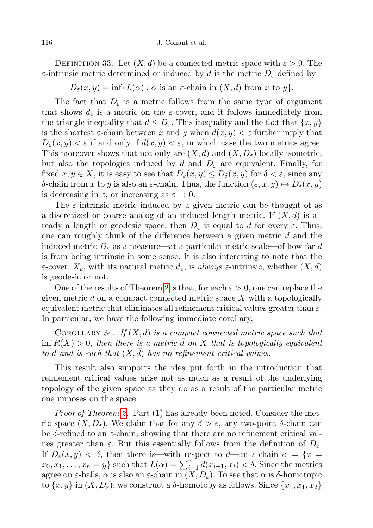DEFINITION 33. Let  $(X, d)$  be a connected metric space with  $\varepsilon > 0$ . The ε-intrinsic metric determined or induced by d is the metric  $D<sub>ε</sub>$  defined by

 $D_{\varepsilon}(x, y) = \inf \{ L(\alpha) : \alpha \text{ is an } \varepsilon\text{-chain in } (X, d) \text{ from } x \text{ to } y \}.$ 

The fact that  $D_{\varepsilon}$  is a metric follows from the same type of argument that shows  $d_{\varepsilon}$  is a metric on the  $\varepsilon$ -cover, and it follows immediately from the triangle inequality that  $d \leq D_{\varepsilon}$ . This inequality and the fact that  $\{x, y\}$ is the shortest  $\varepsilon$ -chain between x and y when  $d(x, y) < \varepsilon$  further imply that  $D_{\varepsilon}(x, y) < \varepsilon$  if and only if  $d(x, y) < \varepsilon$ , in which case the two metrics agree. This moreover shows that not only are  $(X, d)$  and  $(X, D<sub>\varepsilon</sub>)$  locally isometric, but also the topologies induced by d and  $D_{\varepsilon}$  are equivalent. Finally, for fixed  $x, y \in X$ , it is easy to see that  $D_{\varepsilon}(x, y) \leq D_{\delta}(x, y)$  for  $\delta < \varepsilon$ , since any δ-chain from x to y is also an ε-chain. Thus, the function  $(\varepsilon, x, y) \mapsto D_{\varepsilon}(x, y)$ is decreasing in  $\varepsilon$ , or increasing as  $\varepsilon \to 0$ .

The  $\varepsilon$ -intrinsic metric induced by a given metric can be thought of as a discretized or coarse analog of an induced length metric. If  $(X, d)$  is already a length or geodesic space, then  $D_{\varepsilon}$  is equal to d for every  $\varepsilon$ . Thus, one can roughly think of the difference between a given metric  $d$  and the induced metric  $D_{\varepsilon}$  as a measure—at a particular metric scale—of how far d is from being intrinsic in some sense. It is also interesting to note that the  $\varepsilon$ -cover,  $X_{\varepsilon}$ , with its natural metric  $d_{\varepsilon}$ , is always  $\varepsilon$ -intrinsic, whether  $(X, d)$ is geodesic or not.

One of the results of Theorem [2](#page-3-0) is that, for each  $\varepsilon > 0$ , one can replace the given metric  $d$  on a compact connected metric space  $X$  with a topologically equivalent metric that eliminates all refinement critical values greater than  $\varepsilon$ . In particular, we have the following immediate corollary.

COROLLARY 34. If  $(X, d)$  is a compact connected metric space such that inf  $R(X) > 0$ , then there is a metric d on X that is topologically equivalent to d and is such that  $(X, d)$  has no refinement critical values.

This result also supports the idea put forth in the introduction that refinement critical values arise not as much as a result of the underlying topology of the given space as they do as a result of the particular metric one imposes on the space.

*Proof of Theorem [2.](#page-3-0)* Part (1) has already been noted. Consider the metric space  $(X, D_{\varepsilon})$ . We claim that for any  $\delta > \varepsilon$ , any two-point  $\delta$ -chain can be  $\delta$ -refined to an  $\varepsilon$ -chain, showing that there are no refinement critical values greater than  $\varepsilon$ . But this essentially follows from the definition of  $D_{\varepsilon}$ . If  $D_{\varepsilon}(x, y) < \delta$ , then there is—with respect to d—an  $\varepsilon$ -chain  $\alpha = \{x =$  $x_0, x_1, \ldots, x_n = y$  such that  $L(\alpha) = \sum_{i=1}^n d(x_{i-1}, x_i) < \delta$ . Since the metrics agree on  $\varepsilon$ -balls,  $\alpha$  is also an  $\varepsilon$ -chain in  $(X, D_{\varepsilon})$ . To see that  $\alpha$  is  $\delta$ -homotopic to  $\{x, y\}$  in  $(X, D_{\varepsilon})$ , we construct a  $\delta$ -homotopy as follows. Since  $\{x_0, x_1, x_2\}$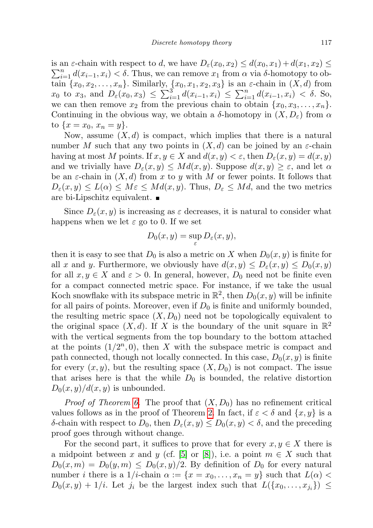is an  $\varepsilon$ -chain with respect to d, we have  $D_{\varepsilon}(x_0, x_2) \leq d(x_0, x_1) + d(x_1, x_2) \leq d(x_0, x_2)$  $\sum_{i=1}^{n} d(x_{i-1}, x_i) < \delta$ . Thus, we can remove  $x_1$  from  $\alpha$  via  $\delta$ -homotopy to obtain  $\{x_0, x_2, \ldots, x_n\}$ . Similarly,  $\{x_0, x_1, x_2, x_3\}$  is an  $\varepsilon$ -chain in  $(X, d)$  from  $x_0$  to  $x_3$ , and  $D_{\varepsilon}(x_0, x_3) \leq \sum_{i=1}^3 d(x_{i-1}, x_i) \leq \sum_{i=1}^n d(x_{i-1}, x_i) < \delta$ . So, we can then remove  $x_2$  from the previous chain to obtain  $\{x_0, x_3, \ldots, x_n\}$ . Continuing in the obvious way, we obtain a  $\delta$ -homotopy in  $(X, D_{\varepsilon})$  from  $\alpha$ to  $\{x = x_0, x_n = y\}.$ 

Now, assume  $(X, d)$  is compact, which implies that there is a natural number M such that any two points in  $(X, d)$  can be joined by an  $\varepsilon$ -chain having at most M points. If  $x, y \in X$  and  $d(x, y) < \varepsilon$ , then  $D_{\varepsilon}(x, y) = d(x, y)$ and we trivially have  $D_{\varepsilon}(x, y) \leq Md(x, y)$ . Suppose  $d(x, y) \geq \varepsilon$ , and let  $\alpha$ be an  $\varepsilon$ -chain in  $(X, d)$  from x to y with M or fewer points. It follows that  $D_{\varepsilon}(x, y) \leq L(\alpha) \leq M\varepsilon \leq Md(x, y)$ . Thus,  $D_{\varepsilon} \leq Md$ , and the two metrics are bi-Lipschitz equivalent.

Since  $D_{\varepsilon}(x, y)$  is increasing as  $\varepsilon$  decreases, it is natural to consider what happens when we let  $\varepsilon$  go to 0. If we set

$$
D_0(x,y) = \sup_{\varepsilon} D_{\varepsilon}(x,y),
$$

then it is easy to see that  $D_0$  is also a metric on X when  $D_0(x, y)$  is finite for all x and y. Furthermore, we obviously have  $d(x, y) \leq D_{\varepsilon}(x, y) \leq D_0(x, y)$ for all  $x, y \in X$  and  $\varepsilon > 0$ . In general, however,  $D_0$  need not be finite even for a compact connected metric space. For instance, if we take the usual Koch snowflake with its subspace metric in  $\mathbb{R}^2$ , then  $D_0(x, y)$  will be infinite for all pairs of points. Moreover, even if  $D_0$  is finite and uniformly bounded, the resulting metric space  $(X, D_0)$  need not be topologically equivalent to the original space  $(X, d)$ . If X is the boundary of the unit square in  $\mathbb{R}^2$ with the vertical segments from the top boundary to the bottom attached at the points  $(1/2^n, 0)$ , then X with the subspace metric is compact and path connected, though not locally connected. In this case,  $D_0(x, y)$  is finite for every  $(x, y)$ , but the resulting space  $(X, D_0)$  is not compact. The issue that arises here is that the while  $D_0$  is bounded, the relative distortion  $D_0(x, y)/d(x, y)$  is unbounded.

*Proof of Theorem [6.](#page-4-0)* The proof that  $(X, D_0)$  has no refinement critical values follows as in the proof of Theorem [2.](#page-3-0) In fact, if  $\varepsilon < \delta$  and  $\{x, y\}$  is a δ-chain with respect to  $D_0$ , then  $D_{\varepsilon}(x, y) \leq D_0(x, y) < \delta$ , and the preceding proof goes through without change.

For the second part, it suffices to prove that for every  $x, y \in X$  there is a midpoint between x and y (cf. [\[5\]](#page-30-5) or [\[8\]](#page-31-10)), i.e. a point  $m \in X$  such that  $D_0(x,m) = D_0(y,m) \leq D_0(x,y)/2$ . By definition of  $D_0$  for every natural number *i* there is a  $1/i$ -chain  $\alpha := \{x = x_0, \ldots, x_n = y\}$  such that  $L(\alpha)$  $D_0(x,y) + 1/i$ . Let  $j_i$  be the largest index such that  $L(\lbrace x_0, \ldots, x_{j_i} \rbrace) \leq$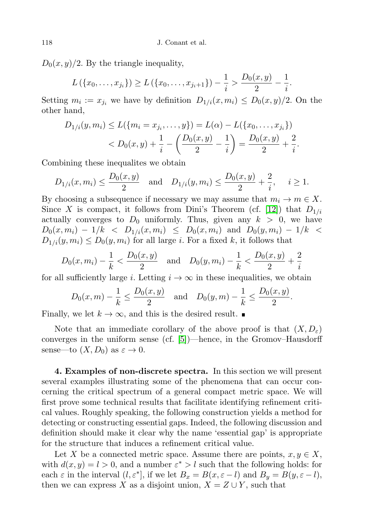$D_0(x, y)/2$ . By the triangle inequality,

$$
L(\{x_0,\ldots,x_{j_i}\}) \ge L(\{x_0,\ldots,x_{j_i+1}\}) - \frac{1}{i} > \frac{D_0(x,y)}{2} - \frac{1}{i}.
$$

Setting  $m_i := x_{j_i}$  we have by definition  $D_{1/i}(x, m_i) \leq D_0(x, y)/2$ . On the other hand,

$$
D_{1/i}(y, m_i) \le L(\{m_i = x_{j_i}, \dots, y\}) = L(\alpha) - L(\{x_0, \dots, x_{j_i}\})
$$
  

$$
< D_0(x, y) + \frac{1}{i} - \left(\frac{D_0(x, y)}{2} - \frac{1}{i}\right) = \frac{D_0(x, y)}{2} + \frac{2}{i}.
$$

Combining these inequalites we obtain

$$
D_{1/i}(x, m_i) \le \frac{D_0(x, y)}{2}
$$
 and  $D_{1/i}(y, m_i) \le \frac{D_0(x, y)}{2} + \frac{2}{i}$ ,  $i \ge 1$ .

By choosing a subsequence if necessary we may assume that  $m_i \to m \in X$ . Since X is compact, it follows from Dini's Theorem (cf. [\[12\]](#page-31-11)) that  $D_{1/i}$ actually converges to  $D_0$  uniformly. Thus, given any  $k > 0$ , we have  $D_0(x, m_i) - 1/k < D_{1/i}(x, m_i) \leq D_0(x, m_i)$  and  $D_0(y, m_i) - 1/k <$  $D_{1/i}(y, m_i) \leq D_0(y, m_i)$  for all large *i*. For a fixed *k*, it follows that

$$
D_0(x, m_i) - \frac{1}{k} < \frac{D_0(x, y)}{2}
$$
 and  $D_0(y, m_i) - \frac{1}{k} < \frac{D_0(x, y)}{2} + \frac{2}{i}$ 

for all sufficiently large *i*. Letting  $i \to \infty$  in these inequalities, we obtain

$$
D_0(x,m) - \frac{1}{k} \le \frac{D_0(x,y)}{2}
$$
 and  $D_0(y,m) - \frac{1}{k} \le \frac{D_0(x,y)}{2}$ .

Finally, we let  $k \to \infty$ , and this is the desired result.

Note that an immediate corollary of the above proof is that  $(X, D_{\varepsilon})$ converges in the uniform sense (cf. [\[5\]](#page-30-5))—hence, in the Gromov–Hausdorff sense—to  $(X, D_0)$  as  $\varepsilon \to 0$ .

4. Examples of non-discrete spectra. In this section we will present several examples illustrating some of the phenomena that can occur concerning the critical spectrum of a general compact metric space. We will first prove some technical results that facilitate identifying refinement critical values. Roughly speaking, the following construction yields a method for detecting or constructing essential gaps. Indeed, the following discussion and definition should make it clear why the name 'essential gap' is appropriate for the structure that induces a refinement critical value.

Let X be a connected metric space. Assume there are points,  $x, y \in X$ , with  $d(x, y) = l > 0$ , and a number  $\varepsilon^* > l$  such that the following holds: for each  $\varepsilon$  in the interval  $(l, \varepsilon^*]$ , if we let  $B_x = B(x, \varepsilon - l)$  and  $B_y = B(y, \varepsilon - l)$ , then we can express X as a disjoint union,  $X = Z \cup Y$ , such that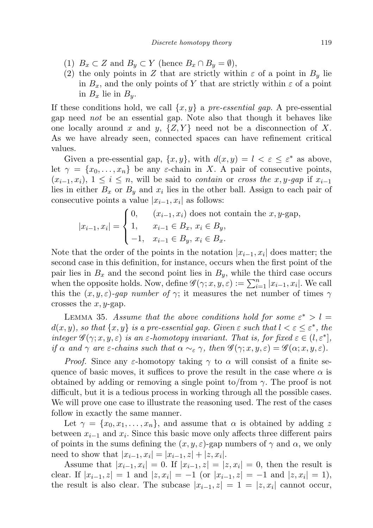- (1)  $B_x \subset Z$  and  $B_y \subset Y$  (hence  $B_x \cap B_y = \emptyset$ ),
- (2) the only points in Z that are strictly within  $\varepsilon$  of a point in  $B_y$  lie in  $B_x$ , and the only points of Y that are strictly within  $\varepsilon$  of a point in  $B_x$  lie in  $B_y$ .

If these conditions hold, we call  $\{x, y\}$  a pre-essential gap. A pre-essential gap need not be an essential gap. Note also that though it behaves like one locally around x and y,  $\{Z, Y\}$  need not be a disconnection of X. As we have already seen, connected spaces can have refinement critical values.

Given a pre-essential gap,  $\{x, y\}$ , with  $d(x, y) = l < \varepsilon \leq \varepsilon^*$  as above, let  $\gamma = \{x_0, \ldots, x_n\}$  be any  $\varepsilon$ -chain in X. A pair of consecutive points,  $(x_{i-1}, x_i)$ ,  $1 \leq i \leq n$ , will be said to *contain* or *cross the x*, *y*-gap if  $x_{i-1}$ lies in either  $B_x$  or  $B_y$  and  $x_i$  lies in the other ball. Assign to each pair of consecutive points a value  $|x_{i-1}, x_i|$  as follows:

$$
|x_{i-1}, x_i| = \begin{cases} 0, & (x_{i-1}, x_i) \text{ does not contain the } x, y\text{-gap,} \\ 1, & x_{i-1} \in B_x, x_i \in B_y, \\ -1, & x_{i-1} \in B_y, x_i \in B_x. \end{cases}
$$

Note that the order of the points in the notation  $|x_{i-1}, x_i|$  does matter; the second case in this definition, for instance, occurs when the first point of the pair lies in  $B_x$  and the second point lies in  $B_y$ , while the third case occurs when the opposite holds. Now, define  $\mathscr{G}(\gamma; x, y, \varepsilon) := \sum_{i=1}^n |x_{i-1}, x_i|$ . We call this the  $(x, y, \varepsilon)$ -gap number of  $\gamma$ ; it measures the net number of times  $\gamma$ crosses the  $x, y$ -gap.

LEMMA 35. Assume that the above conditions hold for some  $\varepsilon^* > l =$  $d(x, y)$ , so that  $\{x, y\}$  is a pre-essential gap. Given  $\varepsilon$  such that  $l < \varepsilon \leq \varepsilon^*$ , the integer  $\mathscr{G}(\gamma; x, y, \varepsilon)$  is an  $\varepsilon$ -homotopy invariant. That is, for fixed  $\varepsilon \in (l, \varepsilon^*]$ , if  $\alpha$  and  $\gamma$  are  $\varepsilon$ -chains such that  $\alpha \sim_{\varepsilon} \gamma$ , then  $\mathscr{G}(\gamma; x, y, \varepsilon) = \mathscr{G}(\alpha; x, y, \varepsilon)$ .

*Proof.* Since any  $\varepsilon$ -homotopy taking  $\gamma$  to  $\alpha$  will consist of a finite sequence of basic moves, it suffices to prove the result in the case where  $\alpha$  is obtained by adding or removing a single point to/from  $\gamma$ . The proof is not difficult, but it is a tedious process in working through all the possible cases. We will prove one case to illustrate the reasoning used. The rest of the cases follow in exactly the same manner.

Let  $\gamma = \{x_0, x_1, \ldots, x_n\}$ , and assume that  $\alpha$  is obtained by adding z between  $x_{i-1}$  and  $x_i$ . Since this basic move only affects three different pairs of points in the sums defining the  $(x, y, \varepsilon)$ -gap numbers of  $\gamma$  and  $\alpha$ , we only need to show that  $|x_{i-1}, x_i| = |x_{i-1}, z| + |z, x_i|$ .

Assume that  $|x_{i-1}, x_i| = 0$ . If  $|x_{i-1}, z| = |z, x_i| = 0$ , then the result is clear. If  $|x_{i-1}, z| = 1$  and  $|z, x_i| = -1$  (or  $|x_{i-1}, z| = -1$  and  $|z, x_i| = 1$ ), the result is also clear. The subcase  $|x_{i-1}, z| = 1 = |z, x_i|$  cannot occur,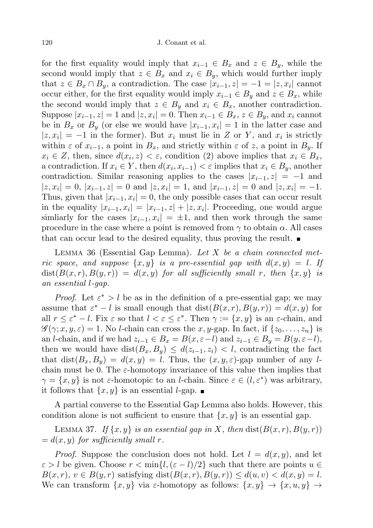for the first equality would imply that  $x_{i-1} \in B_x$  and  $z \in B_y$ , while the second would imply that  $z \in B_x$  and  $x_i \in B_y$ , which would further imply that  $z \in B_x \cap B_y$ , a contradiction. The case  $|x_{i-1}, z| = -1 = |z, x_i|$  cannot occur either, for the first equality would imply  $x_{i-1} \in B_y$  and  $z \in B_x$ , while the second would imply that  $z \in B_y$  and  $x_i \in B_x$ , another contradiction. Suppose  $|x_{i-1}, z|=1$  and  $|z, x_i|=0$ . Then  $x_{i-1} \in B_x$ ,  $z \in B_y$ , and  $x_i$  cannot be in  $B_x$  or  $B_y$  (or else we would have  $|x_{i-1}, x_i| = 1$  in the latter case and  $|z, x_i| = -1$  in the former). But  $x_i$  must lie in Z or Y, and  $x_i$  is strictly within  $\varepsilon$  of  $x_{i-1}$ , a point in  $B_x$ , and strictly within  $\varepsilon$  of z, a point in  $B_y$ . If  $x_i \in Z$ , then, since  $d(x_i, z) < \varepsilon$ , condition (2) above implies that  $x_i \in B_x$ , a contradiction. If  $x_i \in Y$ , then  $d(x_i, x_{i-1}) < \varepsilon$  implies that  $x_i \in B_y$ , another contradiction. Similar reasoning applies to the cases  $|x_{i-1}, z| = -1$  and  $|z, x_i| = 0, |x_{i-1}, z| = 0$  and  $|z, x_i| = 1$ , and  $|x_{i-1}, z| = 0$  and  $|z, x_i| = -1$ . Thus, given that  $|x_{i-1}, x_i| = 0$ , the only possible cases that can occur result in the equality  $|x_{i-1}, x_i| = |x_{i-1}, z| + |z, x_i|$ . Proceeding, one would argue simliarly for the cases  $|x_{i-1}, x_i| = \pm 1$ , and then work through the same procedure in the case where a point is removed from  $\gamma$  to obtain  $\alpha$ . All cases that can occur lead to the desired equality, thus proving the result.

LEMMA 36 (Essential Gap Lemma). Let  $X$  be a chain connected metric space, and suppose  $\{x, y\}$  is a pre-essential gap with  $d(x, y) = l$ . If  $dist(B(x, r), B(y, r)) = d(x, y)$  for all sufficiently small r, then  $\{x, y\}$  is an essential l-gap.

*Proof.* Let  $\varepsilon^* > l$  be as in the definition of a pre-essential gap; we may assume that  $\varepsilon^* - l$  is small enough that  $dist(B(x, r), B(y, r)) = d(x, y)$  for all  $r \leq \varepsilon^* - l$ . Fix  $\varepsilon$  so that  $l < \varepsilon \leq \varepsilon^*$ . Then  $\gamma := \{x, y\}$  is an  $\varepsilon$ -chain, and  $\mathscr{G}(\gamma; x, y, \varepsilon) = 1$ . No *l*-chain can cross the x, y-gap. In fact, if  $\{z_0, \ldots, z_n\}$  is an *l*-chain, and if we had  $z_{i-1} \in B_x = B(x, \varepsilon - l)$  and  $z_{i-1} \in B_y = B(y, \varepsilon - l)$ , then we would have  $dist(B_x, B_y) \leq d(z_{i-1}, z_i) < l$ , contradicting the fact that dist $(B_x, B_y) = d(x, y) = l$ . Thus, the  $(x, y, \varepsilon)$ -gap number of any lchain must be 0. The  $\varepsilon$ -homotopy invariance of this value then implies that  $\gamma = \{x, y\}$  is not  $\varepsilon$ -homotopic to an *l*-chain. Since  $\varepsilon \in (l, \varepsilon^*)$  was arbitrary, it follows that  $\{x, y\}$  is an essential *l*-gap.  $\blacksquare$ 

A partial converse to the Essential Gap Lemma also holds. However, this condition alone is not sufficient to ensure that  $\{x, y\}$  is an essential gap.

LEMMA 37. If  $\{x, y\}$  is an essential gap in X, then  $dist(B(x, r), B(y, r))$  $= d(x, y)$  for sufficiently small r.

*Proof.* Suppose the conclusion does not hold. Let  $l = d(x, y)$ , and let  $\varepsilon > l$  be given. Choose  $r < \min\{l, (\varepsilon - l)/2\}$  such that there are points  $u \in$  $B(x, r), v \in B(y, r)$  satisfying dist $(B(x, r), B(y, r)) \leq d(u, v) < d(x, y) = l$ . We can transform  $\{x, y\}$  via  $\varepsilon$ -homotopy as follows:  $\{x, y\} \to \{x, u, y\} \to$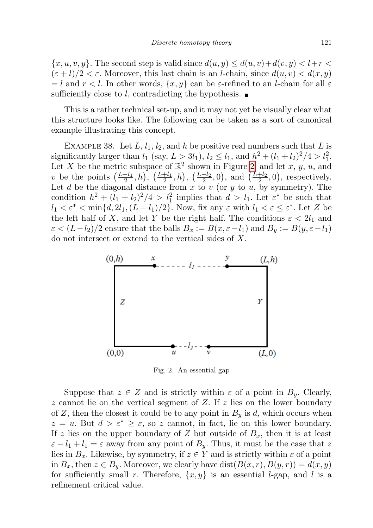${x, u, v, y}$ . The second step is valid since  $d(u, y) \leq d(u, v) + d(v, y) < l + r$  $(\varepsilon + l)/2 < \varepsilon$ . Moreover, this last chain is an *l*-chain, since  $d(u, v) < d(x, y)$  $=$  l and  $r < l$ . In other words,  $\{x, y\}$  can be  $\varepsilon$ -refined to an l-chain for all  $\varepsilon$ sufficiently close to l, contradicting the hypothesis.  $\blacksquare$ 

This is a rather technical set-up, and it may not yet be visually clear what this structure looks like. The following can be taken as a sort of canonical example illustrating this concept.

EXAMPLE 38. Let  $L, l_1, l_2,$  and h be positive real numbers such that L is significantly larger than  $l_1$  (say,  $L > 3l_1$ ),  $l_2 \le l_1$ , and  $h^2 + (l_1 + l_2)^2/4 > l_1^2$ . Let X be the metric subspace of  $\mathbb{R}^2$  shown in Figure [2,](#page-24-0) and let x, y, u, and v be the points  $\left(\frac{L-l_1}{2},h\right), \left(\frac{L+l_2}{2},h\right), \left(\frac{L-l_2}{2},0\right)$ , and  $\left(\frac{L+l_2}{2},0\right)$ , respectively. Let d be the diagonal distance from  $x$  to  $v$  (or  $y$  to  $u$ , by symmetry). The condition  $h^2 + (l_1 + l_2)^2/4 > l_1^2$  implies that  $d > l_1$ . Let  $\varepsilon^*$  be such that  $l_1 < \varepsilon^* < \min\{d, 2l_1, (L - l_1)/2\}$ . Now, fix any  $\varepsilon$  with  $l_1 < \varepsilon \leq \varepsilon^*$ . Let Z be the left half of X, and let Y be the right half. The conditions  $\varepsilon < 2l_1$  and  $\varepsilon < (L-l_2)/2$  ensure that the balls  $B_x := B(x, \varepsilon - l_1)$  and  $B_y := B(y, \varepsilon - l_1)$ do not intersect or extend to the vertical sides of X.



<span id="page-24-0"></span>Fig. 2. An essential gap

Suppose that  $z \in Z$  and is strictly within  $\varepsilon$  of a point in  $B_y$ . Clearly, z cannot lie on the vertical segment of Z. If z lies on the lower boundary of Z, then the closest it could be to any point in  $B_y$  is d, which occurs when  $z = u$ . But  $d > \varepsilon^* \geq \varepsilon$ , so z cannot, in fact, lie on this lower boundary. If z lies on the upper boundary of Z but outside of  $B_x$ , then it is at least  $\varepsilon - l_1 + l_1 = \varepsilon$  away from any point of  $B_y$ . Thus, it must be the case that z lies in  $B_x$ . Likewise, by symmetry, if  $z \in Y$  and is strictly within  $\varepsilon$  of a point in  $B_x$ , then  $z \in B_y$ . Moreover, we clearly have  $dist(B(x, r), B(y, r)) = d(x, y)$ for sufficiently small r. Therefore,  $\{x, y\}$  is an essential *l*-gap, and *l* is a refinement critical value.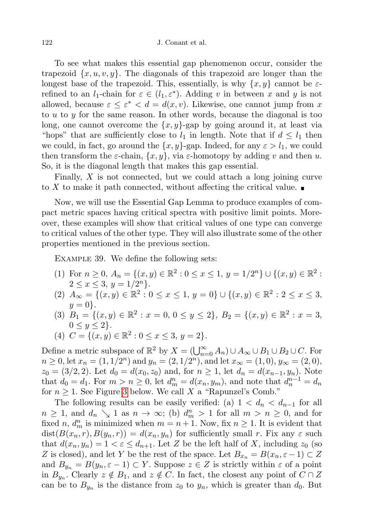To see what makes this essential gap phenomenon occur, consider the trapezoid  $\{x, u, v, y\}$ . The diagonals of this trapezoid are longer than the longest base of the trapezoid. This, essentially, is why  $\{x, y\}$  cannot be  $\varepsilon$ refined to an  $l_1$ -chain for  $\varepsilon \in (l_1, \varepsilon^*)$ . Adding v in between x and y is not allowed, because  $\varepsilon \leq \varepsilon^* < d = d(x, v)$ . Likewise, one cannot jump from x to  $u$  to  $y$  for the same reason. In other words, because the diagonal is too long, one cannot overcome the  $\{x, y\}$ -gap by going around it, at least via "hops" that are sufficiently close to  $l_1$  in length. Note that if  $d \leq l_1$  then we could, in fact, go around the  $\{x, y\}$ -gap. Indeed, for any  $\varepsilon > l_1$ , we could then transform the  $\varepsilon$ -chain,  $\{x, y\}$ , via  $\varepsilon$ -homotopy by adding v and then u. So, it is the diagonal length that makes this gap essential.

Finally, X is not connected, but we could attach a long joining curve to X to make it path connected, without affecting the critical value.

Now, we will use the Essential Gap Lemma to produce examples of compact metric spaces having critical spectra with positive limit points. Moreover, these examples will show that critical values of one type can converge to critical values of the other type. They will also illustrate some of the other properties mentioned in the previous section.

Example 39. We define the following sets:

- (1) For  $n \geq 0$ ,  $A_n = \{(x, y) \in \mathbb{R}^2 : 0 \leq x \leq 1, y = 1/2^n\} \cup \{(x, y) \in \mathbb{R}^2$ :  $2 \leq x \leq 3, y = 1/2^{n}$ .
- (2)  $A_{\infty} = \{(x, y) \in \mathbb{R}^2 : 0 \le x \le 1, y = 0\} \cup \{(x, y) \in \mathbb{R}^2 : 2 \le x \le 3,$  $y = 0$ .
- (3)  $B_1 = \{(x, y) \in \mathbb{R}^2 : x = 0, 0 \le y \le 2\}, B_2 = \{(x, y) \in \mathbb{R}^2 : x = 3,$  $0 \le y \le 2$ .

(4) 
$$
C = \{(x, y) \in \mathbb{R}^2 : 0 \le x \le 3, y = 2\}.
$$

Define a metric subspace of  $\mathbb{R}^2$  by  $X = (\bigcup_{n=0}^{\infty} A_n) \cup A_{\infty} \cup B_1 \cup B_2 \cup C$ . For  $n \ge 0$ , let  $x_n = (1, 1/2^n)$  and  $y_n = (2, 1/2^n)$ , and let  $x_\infty = (1, 0)$ ,  $y_\infty = (2, 0)$ ,  $z_0 = (3/2, 2)$ . Let  $d_0 = d(x_0, z_0)$  and, for  $n \ge 1$ , let  $d_n = d(x_{n-1}, y_n)$ . Note that  $d_0 = d_1$ . For  $m > n \ge 0$ , let  $d_m^n = d(x_n, y_m)$ , and note that  $d_n^{n-1} = d_n$ for  $n \geq 1$ . See Figure [3](#page-26-0) below. We call X a "Rapunzel's Comb."

The following results can be easily verified: (a)  $1 < d_n < d_{n-1}$  for all  $n \geq 1$ , and  $d_n \searrow 1$  as  $n \to \infty$ ; (b)  $d_m^n > 1$  for all  $m > n \geq 0$ , and for fixed n,  $d_m^n$  is minimized when  $m = n + 1$ . Now, fix  $n \ge 1$ . It is evident that  $dist(B(x_n, r), B(y_n, r)) = d(x_n, y_n)$  for sufficiently small r. Fix any  $\varepsilon$  such that  $d(x_n, y_n) = 1 < \varepsilon \le d_{n+1}$ . Let Z be the left half of X, including  $z_0$  (so Z is closed), and let Y be the rest of the space. Let  $B_{x_n} = B(x_n, \varepsilon - 1) \subset Z$ and  $B_{y_n} = B(y_n, \varepsilon - 1) \subset Y$ . Suppose  $z \in Z$  is strictly within  $\varepsilon$  of a point in  $B_{y_n}$ . Clearly  $z \notin B_1$ , and  $z \notin C$ . In fact, the closest any point of  $C \cap Z$ can be to  $B_{y_n}$  is the distance from  $z_0$  to  $y_n$ , which is greater than  $d_0$ . But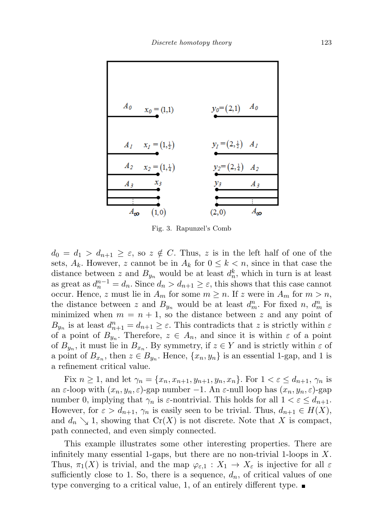

<span id="page-26-0"></span>Fig. 3. Rapunzel's Comb

 $d_0 = d_1 > d_{n+1} \geq \varepsilon$ , so  $z \notin C$ . Thus, z is in the left half of one of the sets,  $A_k$ . However, z cannot be in  $A_k$  for  $0 \leq k \leq n$ , since in that case the distance between z and  $B_{y_n}$  would be at least  $d_n^k$ , which in turn is at least as great as  $d_n^{n-1} = d_n$ . Since  $d_n > d_{n+1} \ge \varepsilon$ , this shows that this case cannot occur. Hence, z must lie in  $A_m$  for some  $m \geq n$ . If z were in  $A_m$  for  $m > n$ , the distance between z and  $B_{y_n}$  would be at least  $d_m^n$ . For fixed n,  $d_m^n$  is minimized when  $m = n + 1$ , so the distance between z and any point of  $B_{y_n}$  is at least  $d_{n+1}^n = d_{n+1} \geq \varepsilon$ . This contradicts that z is strictly within  $\varepsilon$ of a point of  $B_{y_n}$ . Therefore,  $z \in A_n$ , and since it is within  $\varepsilon$  of a point of  $B_{y_n}$ , it must lie in  $B_{x_n}$ . By symmetry, if  $z \in Y$  and is strictly within  $\varepsilon$  of a point of  $B_{x_n}$ , then  $z \in B_{y_n}$ . Hence,  $\{x_n, y_n\}$  is an essential 1-gap, and 1 is a refinement critical value.

Fix  $n \geq 1$ , and let  $\gamma_n = \{x_n, x_{n+1}, y_{n+1}, y_n, x_n\}$ . For  $1 < \varepsilon \leq d_{n+1}, \gamma_n$  is an  $\varepsilon$ -loop with  $(x_n, y_n, \varepsilon)$ -gap number −1. An  $\varepsilon$ -null loop has  $(x_n, y_n, \varepsilon)$ -gap number 0, implying that  $\gamma_n$  is  $\varepsilon$ -nontrivial. This holds for all  $1 < \varepsilon \leq d_{n+1}$ . However, for  $\varepsilon > d_{n+1}$ ,  $\gamma_n$  is easily seen to be trivial. Thus,  $d_{n+1} \in H(X)$ , and  $d_n \searrow 1$ , showing that  $Cr(X)$  is not discrete. Note that X is compact, path connected, and even simply connected.

This example illustrates some other interesting properties. There are infinitely many essential 1-gaps, but there are no non-trivial 1-loops in  $X$ . Thus,  $\pi_1(X)$  is trivial, and the map  $\varphi_{\varepsilon,1}: X_1 \to X_{\varepsilon}$  is injective for all  $\varepsilon$ sufficiently close to 1. So, there is a sequence,  $d_n$ , of critical values of one type converging to a critical value, 1, of an entirely different type.  $\blacksquare$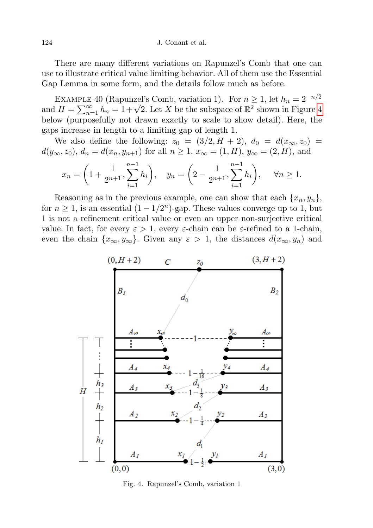There are many different variations on Rapunzel's Comb that one can use to illustrate critical value limiting behavior. All of them use the Essential Gap Lemma in some form, and the details follow much as before.

EXAMPLE 40 (Rapunzel's Comb, variation 1). For  $n \geq 1$ , let  $h_n = 2^{-n/2}$ EXAMPLE [4](#page-27-0)0 (Rapunzer's Comp., variation 1). For  $n \geq 1$ , let  $n_n = 2$  ....<br>and  $H = \sum_{n=1}^{\infty} h_n = 1 + \sqrt{2}$ . Let X be the subspace of  $\mathbb{R}^2$  shown in Figure 4 below (purposefully not drawn exactly to scale to show detail). Here, the gaps increase in length to a limiting gap of length 1.

We also define the following:  $z_0 = (3/2, H + 2), d_0 = d(x_{\infty}, z_0)$  $d(y_{\infty}, z_0)$ ,  $d_n = d(x_n, y_{n+1})$  for all  $n \ge 1$ ,  $x_{\infty} = (1, H)$ ,  $y_{\infty} = (2, H)$ , and

$$
x_n = \left(1 + \frac{1}{2^{n+1}}, \sum_{i=1}^{n-1} h_i\right), \quad y_n = \left(2 - \frac{1}{2^{n+1}}, \sum_{i=1}^{n-1} h_i\right), \quad \forall n \ge 1.
$$

Reasoning as in the previous example, one can show that each  $\{x_n, y_n\}$ , for  $n \geq 1$ , is an essential  $(1 - 1/2^n)$ -gap. These values converge up to 1, but 1 is not a refinement critical value or even an upper non-surjective critical value. In fact, for every  $\varepsilon > 1$ , every  $\varepsilon$ -chain can be  $\varepsilon$ -refined to a 1-chain, even the chain  $\{x_{\infty}, y_{\infty}\}.$  Given any  $\varepsilon > 1$ , the distances  $d(x_{\infty}, y_n)$  and



<span id="page-27-0"></span>Fig. 4. Rapunzel's Comb, variation 1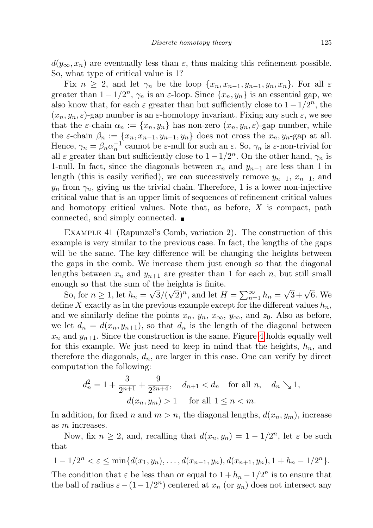$d(y_\infty, x_n)$  are eventually less than  $\varepsilon$ , thus making this refinement possible. So, what type of critical value is 1?

Fix  $n \geq 2$ , and let  $\gamma_n$  be the loop  $\{x_n, x_{n-1}, y_{n-1}, y_n, x_n\}$ . For all  $\varepsilon$ greater than  $1 - 1/2^n$ ,  $\gamma_n$  is an  $\varepsilon$ -loop. Since  $\{x_n, y_n\}$  is an essential gap, we also know that, for each  $\varepsilon$  greater than but sufficiently close to  $1 - 1/2^n$ , the  $(x_n, y_n, \varepsilon)$ -gap number is an  $\varepsilon$ -homotopy invariant. Fixing any such  $\varepsilon$ , we see that the  $\varepsilon$ -chain  $\alpha_n := \{x_n, y_n\}$  has non-zero  $(x_n, y_n, \varepsilon)$ -gap number, while the  $\varepsilon$ -chain  $\beta_n := \{x_n, x_{n-1}, y_{n-1}, y_n\}$  does not cross the  $x_n, y_n$ -gap at all. Hence,  $\gamma_n = \beta_n \alpha_n^{-1}$  cannot be  $\varepsilon$ -null for such an  $\varepsilon$ . So,  $\gamma_n$  is  $\varepsilon$ -non-trivial for all  $\varepsilon$  greater than but sufficiently close to  $1 - 1/2^n$ . On the other hand,  $\gamma_n$  is 1-null. In fact, since the diagonals between  $x_n$  and  $y_{n-1}$  are less than 1 in length (this is easily verified), we can successively remove  $y_{n-1}$ ,  $x_{n-1}$ , and  $y_n$  from  $\gamma_n$ , giving us the trivial chain. Therefore, 1 is a lower non-injective critical value that is an upper limit of sequences of refinement critical values and homotopy critical values. Note that, as before,  $X$  is compact, path connected, and simply connected.

Example 41 (Rapunzel's Comb, variation 2). The construction of this example is very similar to the previous case. In fact, the lengths of the gaps will be the same. The key difference will be changing the heights between the gaps in the comb. We increase them just enough so that the diagonal lengths between  $x_n$  and  $y_{n+1}$  are greater than 1 for each n, but still small enough so that the sum of the heights is finite.

So, for  $n \geq 1$ , let  $h_n = \sqrt{3}/(\sqrt{2})^n$ , and let  $H = \sum_{n=1}^{\infty} h_n =$  $\sqrt{3} + \sqrt{6}$ . We define X exactly as in the previous example except for the different values  $h_n$ , and we similarly define the points  $x_n$ ,  $y_n$ ,  $x_\infty$ ,  $y_\infty$ , and  $z_0$ . Also as before, we let  $d_n = d(x_n, y_{n+1})$ , so that  $d_n$  is the length of the diagonal between  $x_n$  and  $y_{n+1}$ . Since the construction is the same, Figure [4](#page-27-0) holds equally well for this example. We just need to keep in mind that the heights,  $h_n$ , and therefore the diagonals,  $d_n$ , are larger in this case. One can verify by direct computation the following:

$$
d_n^2 = 1 + \frac{3}{2^{n+1}} + \frac{9}{2^{2n+4}}, \quad d_{n+1} < d_n \quad \text{for all } n, \quad d_n \searrow 1,
$$
  

$$
d(x_n, y_m) > 1 \quad \text{for all } 1 \le n < m.
$$

In addition, for fixed n and  $m > n$ , the diagonal lengths,  $d(x_n, y_m)$ , increase as m increases.

Now, fix  $n \geq 2$ , and, recalling that  $d(x_n, y_n) = 1 - 1/2^n$ , let  $\varepsilon$  be such that

$$
1-1/2^{n} < \varepsilon \leq \min\{d(x_1,y_n),\ldots,d(x_{n-1},y_n),d(x_{n+1},y_n),1+h_n-1/2^{n}\}.
$$

The condition that  $\varepsilon$  be less than or equal to  $1 + h_n - 1/2^n$  is to ensure that the ball of radius  $\varepsilon - (1 - 1/2^n)$  centered at  $x_n$  (or  $y_n$ ) does not intersect any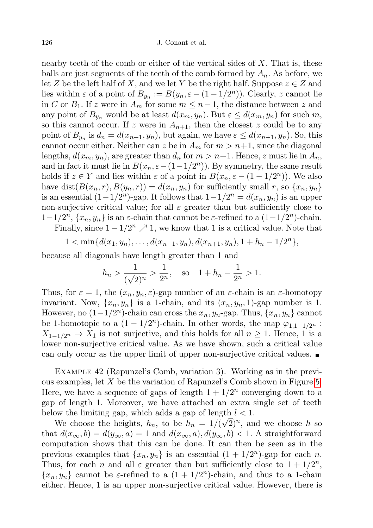nearby teeth of the comb or either of the vertical sides of  $X$ . That is, these balls are just segments of the teeth of the comb formed by  $A_n$ . As before, we let Z be the left half of X, and we let Y be the right half. Suppose  $z \in Z$  and lies within  $\varepsilon$  of a point of  $B_{y_n} := B(y_n, \varepsilon - (1 - 1/2^n))$ . Clearly, z cannot lie in C or  $B_1$ . If z were in  $A_m$  for some  $m \leq n-1$ , the distance between z and any point of  $B_{y_n}$  would be at least  $d(x_m, y_n)$ . But  $\varepsilon \leq d(x_m, y_n)$  for such m, so this cannot occur. If z were in  $A_{n+1}$ , then the closest z could be to any point of  $B_{y_n}$  is  $d_n = d(x_{n+1}, y_n)$ , but again, we have  $\varepsilon \leq d(x_{n+1}, y_n)$ . So, this cannot occur either. Neither can z be in  $A_m$  for  $m > n+1$ , since the diagonal lengths,  $d(x_m, y_n)$ , are greater than  $d_n$  for  $m > n+1$ . Hence, z must lie in  $A_n$ , and in fact it must lie in  $B(x_n, \varepsilon - (1 - 1/2^n))$ . By symmetry, the same result holds if  $z \in Y$  and lies within  $\varepsilon$  of a point in  $B(x_n, \varepsilon - (1 - 1/2^n))$ . We also have dist $(B(x_n, r), B(y_n, r)) = d(x_n, y_n)$  for sufficiently small r, so  $\{x_n, y_n\}$ is an essential  $(1-1/2^n)$ -gap. It follows that  $1-1/2^n = d(x_n, y_n)$  is an upper non-surjective critical value; for all  $\varepsilon$  greater than but sufficiently close to  $1-1/2^n$ ,  $\{x_n, y_n\}$  is an  $\varepsilon$ -chain that cannot be  $\varepsilon$ -refined to a  $(1-1/2^n)$ -chain.

Finally, since  $1 - 1/2^n \nearrow 1$ , we know that 1 is a critical value. Note that

$$
1 < \min\{d(x_1, y_n), \ldots, d(x_{n-1}, y_n), d(x_{n+1}, y_n), 1 + h_n - 1/2^n\},\
$$

because all diagonals have length greater than 1 and

$$
h_n > \frac{1}{(\sqrt{2})^n} > \frac{1}{2^n}
$$
, so  $1 + h_n - \frac{1}{2^n} > 1$ .

Thus, for  $\varepsilon = 1$ , the  $(x_n, y_n, \varepsilon)$ -gap number of an  $\varepsilon$ -chain is an  $\varepsilon$ -homotopy invariant. Now,  $\{x_n, y_n\}$  is a 1-chain, and its  $(x_n, y_n, 1)$ -gap number is 1. However, no  $(1-1/2^n)$ -chain can cross the  $x_n, y_n$ -gap. Thus,  $\{x_n, y_n\}$  cannot be 1-homotopic to a  $(1 - 1/2^n)$ -chain. In other words, the map  $\varphi_{1,1-1/2^n}$ :  $X_{1-1/2^n} \to X_1$  is not surjective, and this holds for all  $n \geq 1$ . Hence, 1 is a lower non-surjective critical value. As we have shown, such a critical value can only occur as the upper limit of upper non-surjective critical values.

<span id="page-29-0"></span>Example 42 (Rapunzel's Comb, variation 3). Working as in the previous examples, let X be the variation of Rapunzel's Comb shown in Figure [5.](#page-30-7) Here, we have a sequence of gaps of length  $1 + 1/2<sup>n</sup>$  converging down to a gap of length 1. Moreover, we have attached an extra single set of teeth below the limiting gap, which adds a gap of length  $l < 1$ .

We choose the heights,  $h_n$ , to be  $h_n = 1/(\sqrt{2})^n$ , and we choose h so that  $d(x_{\infty}, b) = d(y_{\infty}, a) = 1$  and  $d(x_{\infty}, a), d(y_{\infty}, b) < 1$ . A straightforward computation shows that this can be done. It can then be seen as in the previous examples that  $\{x_n, y_n\}$  is an essential  $(1 + 1/2^n)$ -gap for each n. Thus, for each *n* and all  $\varepsilon$  greater than but sufficiently close to  $1 + 1/2^n$ ,  $\{x_n, y_n\}$  cannot be  $\varepsilon$ -refined to a  $(1 + 1/2^n)$ -chain, and thus to a 1-chain either. Hence, 1 is an upper non-surjective critical value. However, there is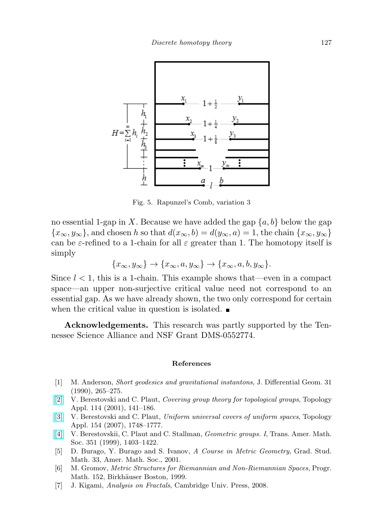

<span id="page-30-7"></span>Fig. 5. Rapunzel's Comb, variation 3

no essential 1-gap in X. Because we have added the gap  $\{a, b\}$  below the gap  ${x<sub>\infty</sub>, y<sub>\infty</sub>}$ , and chosen h so that  $d(x<sub>\infty</sub>, b) = d(y<sub>\infty</sub>, a) = 1$ , the chain  ${x<sub>\infty</sub>, y<sub>\infty</sub>}$ can be  $\varepsilon$ -refined to a 1-chain for all  $\varepsilon$  greater than 1. The homotopy itself is simply

$$
\{x_{\infty}, y_{\infty}\} \to \{x_{\infty}, a, y_{\infty}\} \to \{x_{\infty}, a, b, y_{\infty}\}.
$$

Since  $l < 1$ , this is a 1-chain. This example shows that—even in a compact space—an upper non-surjective critical value need not correspond to an essential gap. As we have already shown, the two only correspond for certain when the critical value in question is isolated.  $\blacksquare$ 

Acknowledgements. This research was partly supported by the Tennessee Science Alliance and NSF Grant DMS-0552774.

## References

- <span id="page-30-4"></span>[1] M. Anderson, Short geodesics and gravitational instantons, J. Differential Geom. 31 (1990), 265–275.
- <span id="page-30-0"></span>[\[2\]](http://dx.doi.org/10.1016/S0166-8641(00)00031-6) V. Berestovski and C. Plaut, Covering group theory for topological groups, Topology Appl. 114 (2001), 141–186.
- <span id="page-30-2"></span>[\[3\]](http://dx.doi.org/10.1016/j.topol.2006.12.012) V. Berestovski and C. Plaut, Uniform universal covers of uniform spaces, Topology Appl. 154 (2007), 1748–1777.
- <span id="page-30-1"></span>[\[4\]](http://dx.doi.org/10.1090/S0002-9947-99-02086-3) V. Berestovskii, C. Plaut and C. Stallman, Geometric groups. I, Trans. Amer. Math. Soc. 351 (1999), 1403–1422.
- <span id="page-30-5"></span>[5] D. Burago, Y. Burago and S. Ivanov, A Course in Metric Geometry, Grad. Stud. Math. 33, Amer. Math. Soc., 2001.
- <span id="page-30-3"></span>[6] M. Gromov, Metric Structures for Riemannian and Non-Riemannian Spaces, Progr. Math. 152, Birkhäuser Boston, 1999.
- <span id="page-30-6"></span>[7] J. Kigami, Analysis on Fractals, Cambridge Univ. Press, 2008.